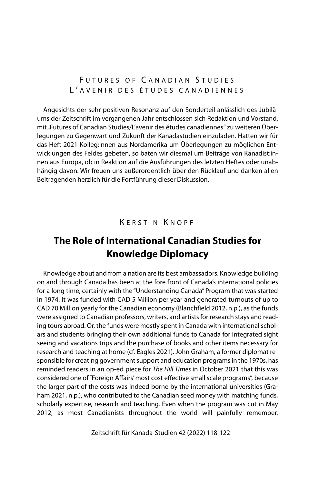FUTURES OF CANADIAN STUDIES L ' AVENIR DES ÉTUDES CANADIENNES

Angesichts der sehr positiven Resonanz auf den Sonderteil anlässlich des Jubiläums der Zeitschrift im vergangenen Jahr entschlossen sich Redaktion und Vorstand, mit "Futures of Canadian Studies/L'avenir des études canadiennes" zu weiteren Überlegungen zu Gegenwart und Zukunft der Kanadastudien einzuladen. Hatten wir für das Heft 2021 Kolleg:innen aus Nordamerika um Überlegungen zu möglichen Entwicklungen des Feldes gebeten, so baten wir diesmal um Beiträge von Kanadist:innen aus Europa, ob in Reaktion auf die Ausführungen des letzten Heftes oder unabhängig davon. Wir freuen uns außerordentlich über den Rücklauf und danken allen Beitragenden herzlich für die Fortführung dieser Diskussion.

## K ERSTIN K NOPF

# **The Role of International Canadian Studies for Knowledge Diplomacy**

Knowledge about and from a nation are its best ambassadors. Knowledge building on and through Canada has been at the fore front of Canada's international policies for a long time, certainly with the "Understanding Canada" Program that was started in 1974. It was funded with CAD 5 Million per year and generated turnouts of up to CAD 70 Million yearly for the Canadian economy (Blanchfield 2012, n.p.), as the funds were assigned to Canadian professors, writers, and artists for research stays and reading tours abroad. Or, the funds were mostly spent in Canada with international scholars and students bringing their own additional funds to Canada for integrated sight seeing and vacations trips and the purchase of books and other items necessary for research and teaching at home (cf. Eagles 2021). John Graham, a former diplomat responsible for creating government support and education programs in the 1970s, has reminded readers in an op-ed piece for The Hill Times in October 2021 that this was considered one of "Foreign Affairs' most cost effective small scale programs", because the larger part of the costs was indeed borne by the international universities (Graham 2021, n.p.), who contributed to the Canadian seed money with matching funds, scholarly expertise, research and teaching. Even when the program was cut in May 2012, as most Canadianists throughout the world will painfully remember,

Zeitschrift für Kanada-Studien 42 (2022) 118-122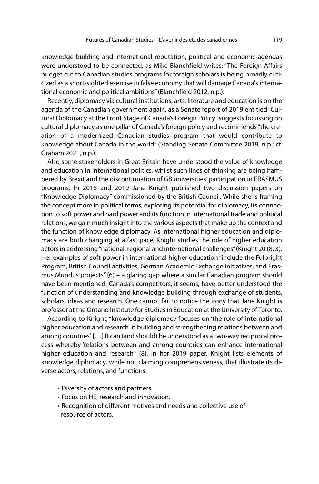knowledge building and international reputation, political and economic agendas were understood to be connected, as Mike Blanchfield writes: "The Foreign Affairs budget cut to Canadian studies programs for foreign scholars is being broadly criticized as a short-sighted exercise in false economy that will damage Canada's international economic and political ambitions" (Blanchfield 2012, n.p.).

Recently, diplomacy via cultural institutions, arts, literature and education is on the agenda of the Canadian government again, as a Senate report of 2019 entitled "Cultural Diplomacy at the Front Stage of Canada's Foreign Policy" suggests focussing on cultural diplomacy as one pillar of Canada's foreign policy and recommends "the creation of a modernized Canadian studies program that would contribute to knowledge about Canada in the world" (Standing Senate Committee 2019, n.p.; cf. Graham 2021, n.p.).

Also some stakeholders in Great Britain have understood the value of knowledge and education in international politics, whilst such lines of thinking are being hampered by Brexit and the discontinuation of GB universities' participation in ERASMUS programs. In 2018 and 2019 Jane Knight published two discussion papers on "Knowledge Diplomacy" commissioned by the British Council. While she is framing the concept more in political terms, exploring its potential for diplomacy, its connection to soft power and hard power and its function in international trade and political relations, we gain much insight into the various aspects that make up the context and the function of knowledge diplomacy. As international higher education and diplomacy are both changing at a fast pace, Knight studies the role of higher education actors in addressing "national, regional and international challenges" (Knight 2018, 3). Her examples of soft power in international higher education "include the Fulbright Program, British Council activities, German Academic Exchange initiatives, and Erasmus Mundus projects" (6) – a glaring gap where a similar Canadian program should have been mentioned. Canada's competitors, it seems, have better understood the function of understanding and knowledge building through exchange of students, scholars, ideas and research. One cannot fail to notice the irony that Jane Knight is professor at the Ontario Institute for Studies in Education at the University of Toronto.

According to Knight, "knowledge diplomacy focuses on 'the role of international higher education and research in building and strengthening relations between and among countries'. […] It can (and should) be understood as a two-way reciprocal process whereby 'relations between and among countries can enhance international higher education and research'" (8). In her 2019 paper, Knight lists elements of knowledge diplomacy, while not claiming comprehensiveness, that illustrate its diverse actors, relations, and functions:

- Diversity of actors and partners.
- Focus on HE, research and innovation.
- Recognition of different motives and needs and collective use of resource of actors.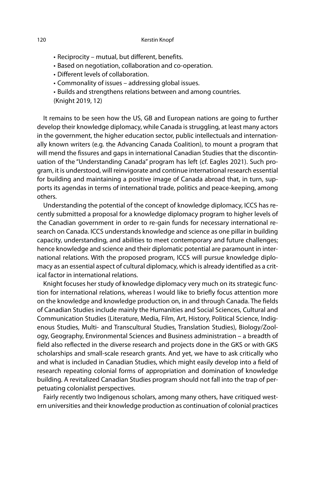- Reciprocity mutual, but different, benefits.
- Based on negotiation, collaboration and co-operation.
- Different levels of collaboration.
- Commonality of issues addressing global issues.
- Builds and strengthens relations between and among countries.
- (Knight 2019, 12)

It remains to be seen how the US, GB and European nations are going to further develop their knowledge diplomacy, while Canada is struggling, at least many actors in the government, the higher education sector, public intellectuals and internationally known writers (e.g. the Advancing Canada Coalition), to mount a program that will mend the fissures and gaps in international Canadian Studies that the discontinuation of the "Understanding Canada" program has left (cf. Eagles 2021). Such program, it is understood, will reinvigorate and continue international research essential for building and maintaining a positive image of Canada abroad that, in turn, supports its agendas in terms of international trade, politics and peace-keeping, among others.

Understanding the potential of the concept of knowledge diplomacy, ICCS has recently submitted a proposal for a knowledge diplomacy program to higher levels of the Canadian government in order to re-gain funds for necessary international research on Canada. ICCS understands knowledge and science as one pillar in building capacity, understanding, and abilities to meet contemporary and future challenges; hence knowledge and science and their diplomatic potential are paramount in international relations. With the proposed program, ICCS will pursue knowledge diplomacy as an essential aspect of cultural diplomacy, which is already identified as a critical factor in international relations.

Knight focuses her study of knowledge diplomacy very much on its strategic function for international relations, whereas I would like to briefly focus attention more on the knowledge and knowledge production on, in and through Canada. The fields of Canadian Studies include mainly the Humanities and Social Sciences, Cultural and Communication Studies (Literature, Media, Film, Art, History, Political Science, Indigenous Studies, Multi- and Transcultural Studies, Translation Studies), Biology/Zoology, Geography, Environmental Sciences and Business administration – a breadth of field also reflected in the diverse research and projects done in the GKS or with GKS scholarships and small-scale research grants. And yet, we have to ask critically who and what is included in Canadian Studies, which might easily develop into a field of research repeating colonial forms of appropriation and domination of knowledge building. A revitalized Canadian Studies program should not fall into the trap of perpetuating colonialist perspectives.

Fairly recently two Indigenous scholars, among many others, have critiqued western universities and their knowledge production as continuation of colonial practices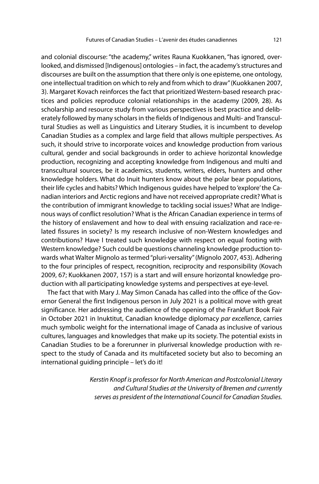and colonial discourse: "the academy," writes Rauna Kuokkanen, "has ignored, overlooked, and dismissed [Indigenous] ontologies – in fact, the academy's structures and discourses are built on the assumption that there only is one episteme, one ontology, one intellectual tradition on which to rely and from which to draw" (Kuokkanen 2007, 3). Margaret Kovach reinforces the fact that prioritized Western-based research practices and policies reproduce colonial relationships in the academy (2009, 28). As scholarship and resource study from various perspectives is best practice and deliberately followed by many scholars in the fields of Indigenous and Multi- and Transcultural Studies as well as Linguistics and Literary Studies, it is incumbent to develop Canadian Studies as a complex and large field that allows multiple perspectives. As such, it should strive to incorporate voices and knowledge production from various cultural, gender and social backgrounds in order to achieve horizontal knowledge production, recognizing and accepting knowledge from Indigenous and multi and transcultural sources, be it academics, students, writers, elders, hunters and other knowledge holders. What do Inuit hunters know about the polar bear populations, their life cycles and habits? Which Indigenous guides have helped to 'explore' the Canadian interiors and Arctic regions and have not received appropriate credit? What is the contribution of immigrant knowledge to tackling social issues? What are Indigenous ways of conflict resolution? What is the African Canadian experience in terms of the history of enslavement and how to deal with ensuing racialization and race-related fissures in society? Is my research inclusive of non-Western knowledges and contributions? Have I treated such knowledge with respect on equal footing with Western knowledge? Such could be questions channeling knowledge production towards what Walter Mignolo as termed "pluri-versality" (Mignolo 2007, 453). Adhering to the four principles of respect, recognition, reciprocity and responsibility (Kovach 2009, 67; Kuokkanen 2007, 157) is a start and will ensure horizontal knowledge production with all participating knowledge systems and perspectives at eye-level.

The fact that with Mary J. May Simon Canada has called into the office of the Governor General the first Indigenous person in July 2021 is a political move with great significance. Her addressing the audience of the opening of the Frankfurt Book Fair in October 2021 in Inuktitut, Canadian knowledge diplomacy par excellence, carries much symbolic weight for the international image of Canada as inclusive of various cultures, languages and knowledges that make up its society. The potential exists in Canadian Studies to be a forerunner in pluriversal knowledge production with respect to the study of Canada and its multifaceted society but also to becoming an international guiding principle – let's do it!

> Kerstin Knopf is professor for North American and Postcolonial Literary and Cultural Studies at the University of Bremen and currently serves as president of the International Council for Canadian Studies.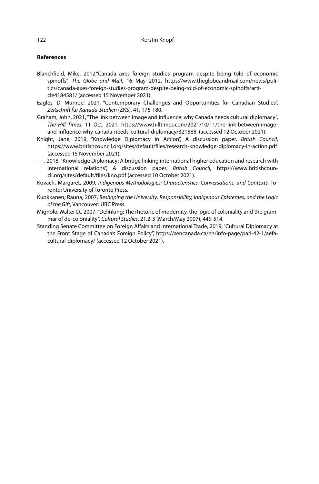### **References**

- Blanchfield, Mike, 2012,"Canada axes foreign studies program despite being told of economic spinoffs", The Globe and Mail, 16 May 2012, https://www.theglobeandmail.com/news/politics/canada-axes-foreign-studies-program-despite-being-told-of-economic-spinoffs/article4184581/ (accessed 15 November 2021).
- Eagles, D. Munroe, 2021, "Contemporary Challenges and Opportunities for Canadian Studies", Zeitschrift für Kanada-Studien (ZKS), 41, 176-180.
- Graham, John, 2021, "The link between image and influence: why Canada needs cultural diplomacy", The Hill Times, 11 Oct. 2021, https://www.hilltimes.com/2021/10/11/the-link-between-imageand-influence-why-canada-needs-cultural-diplomacy/321588, (accessed 12 October 2021).
- Knight, Jane, 2019, "Knowledge Diplomacy in Action", A discussion paper. British Council, https://www.britishcouncil.org/sites/default/files/research-knowledge-diplomacy-in-action.pdf (accessed 15 November 2021).
- ----, 2018, "Knowledge Diplomacy: A bridge linking international higher education and research with international relations", A discussion paper. British Council, https://www.britishcouncil.org/sites/default/files/kno.pdf (accessed 10 October 2021).
- Kovach, Margaret, 2009, Indigenous Methodologies: Characteristics, Conversations, and Contexts, Toronto: University of Toronto Press.
- Kuokkanen, Rauna, 2007, Reshaping the University: Responsibility, Indigenous Epistemes, and the Logic of the Gift, Vancouver: UBC Press.
- Mignolo, Walter D., 2007, "Delinking: The rhetoric of modernity, the logic of coloniality and the grammar of de-coloniality", Cultural Studies, 21.2-3 (March/May 2007), 449-514.
- Standing Senate Committee on Foreign Affairs and International Trade, 2019, "Cultural Diplomacy at the Front Stage of Canada's Foreign Policy", https://sencanada.ca/en/info-page/parl-42-1/aefacultural-diplomacy/ (accessed 12 October 2021).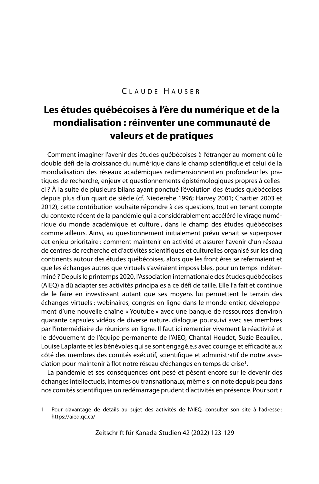## CLAUDE HAUSER

# **Les études québécoises à l'ère du numérique et de la mondialisation : réinventer une communauté de valeurs et de pratiques**

Comment imaginer l'avenir des études québécoises à l'étranger au moment où le double défi de la croissance du numérique dans le champ scientifique et celui de la mondialisation des réseaux académiques redimensionnent en profondeur les pratiques de recherche, enjeux et questionnements épistémologiques propres à cellesci ? À la suite de plusieurs bilans ayant ponctué l'évolution des études québécoises depuis plus d'un quart de siècle (cf. Niederehe 1996; Harvey 2001; Chartier 2003 et 2012), cette contribution souhaite répondre à ces questions, tout en tenant compte du contexte récent de la pandémie qui a considérablement accéléré le virage numérique du monde académique et culturel, dans le champ des études québécoises comme ailleurs. Ainsi, au questionnement initialement prévu venait se superposer cet enjeu prioritaire : comment maintenir en activité et assurer l'avenir d'un réseau de centres de recherche et d'activités scientifiques et culturelles organisé sur les cinq continents autour des études québécoises, alors que les frontières se refermaient et que les échanges autres que virtuels s'avéraient impossibles, pour un temps indéterminé ? Depuis le printemps 2020, l'Association internationale des études québécoises (AIEQ) a dû adapter ses activités principales à ce défi de taille. Elle l'a fait et continue de le faire en investissant autant que ses moyens lui permettent le terrain des échanges virtuels : webinaires, congrès en ligne dans le monde entier, développement d'une nouvelle chaîne « Youtube » avec une banque de ressources d'environ quarante capsules vidéos de diverse nature, dialogue poursuivi avec ses membres par l'intermédiaire de réunions en ligne. Il faut ici remercier vivement la réactivité et le dévouement de l'équipe permanente de l'AIEQ, Chantal Houdet, Suzie Beaulieu, Louise Laplante et les bénévoles qui se sont engagé.e.s avec courage et efficacité aux côté des membres des comités exécutif, scientifique et administratif de notre association pour maintenir à flot notre réseau d'échanges en temps de crise<sup>1</sup>.

La pandémie et ses conséquences ont pesé et pèsent encore sur le devenir des échanges intellectuels, internes ou transnationaux, même si on note depuis peu dans nos comités scientifiques un redémarrage prudent d'activités en présence. Pour sortir

Zeitschrift für Kanada-Studien 42 (2022) 123-129

<sup>1</sup> Pour davantage de détails au sujet des activités de l'AIEQ, consulter son site à l'adresse : https://aieq.qc.ca/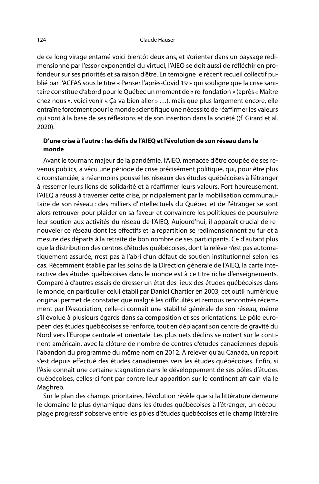de ce long virage entamé voici bientôt deux ans, et s'orienter dans un paysage redimensionné par l'essor exponentiel du virtuel, l'AIEQ se doit aussi de réfléchir en profondeur sur ses priorités et sa raison d'être. En témoigne le récent recueil collectif publié par l'ACFAS sous le titre « Penser l'après-Covid 19 » qui souligne que la crise sanitaire constitue d'abord pour le Québec un moment de « re-fondation » (après « Maître chez nous », voici venir « Ça va bien aller » …), mais que plus largement encore, elle entraîne forcément pour le monde scientifique une nécessité de réaffirmer les valeurs qui sont à la base de ses réflexions et de son insertion dans la société ((f. Girard et al. 2020).

### **D'une crise à l'autre : les défis de l'AIEQ et l'évolution de son réseau dans le monde**

Avant le tournant majeur de la pandémie, l'AIEQ, menacée d'être coupée de ses revenus publics, a vécu une période de crise précisément politique, qui, pour être plus circonstanciée, a néanmoins poussé les réseaux des études québécoises à l'étranger à resserrer leurs liens de solidarité et à réaffirmer leurs valeurs. Fort heureusement, l'AIEQ a réussi à traverser cette crise, principalement par la mobilisation communautaire de son réseau : des milliers d'intellectuels du Québec et de l'étranger se sont alors retrouver pour plaider en sa faveur et convaincre les politiques de poursuivre leur soutien aux activités du réseau de l'AIEQ. Aujourd'hui, il apparaît crucial de renouveler ce réseau dont les effectifs et la répartition se redimensionnent au fur et à mesure des départs à la retraite de bon nombre de ses participants. Ce d'autant plus que la distribution des centres d'études québécoises, dont la relève n'est pas automatiquement assurée, n'est pas à l'abri d'un défaut de soutien institutionnel selon les cas. Récemment établie par les soins de la Direction générale de l'AIEQ, la carte interactive des études québécoises dans le monde est à ce titre riche d'enseignements. Comparé à d'autres essais de dresser un état des lieux des études québécoises dans le monde, en particulier celui établi par Daniel Chartier en 2003, cet outil numérique original permet de constater que malgré les difficultés et remous rencontrés récemment par l'Association, celle-ci connaît une stabilité générale de son réseau, même s'il évolue à plusieurs égards dans sa composition et ses orientations. Le pôle européen des études québécoises se renforce, tout en déplaçant son centre de gravité du Nord vers l'Europe centrale et orientale. Les plus nets déclins se notent sur le continent américain, avec la clôture de nombre de centres d'études canadiennes depuis l'abandon du programme du même nom en 2012. À relever qu'au Canada, un report s'est depuis effectué des études canadiennes vers les études québécoises. Enfin, si l'Asie connaît une certaine stagnation dans le développement de ses pôles d'études québécoises, celles-ci font par contre leur apparition sur le continent africain via le Maghreb.

Sur le plan des champs prioritaires, l'évolution révèle que si la littérature demeure le domaine le plus dynamique dans les études québécoises à l'étranger, un découplage progressif s'observe entre les pôles d'études québécoises et le champ littéraire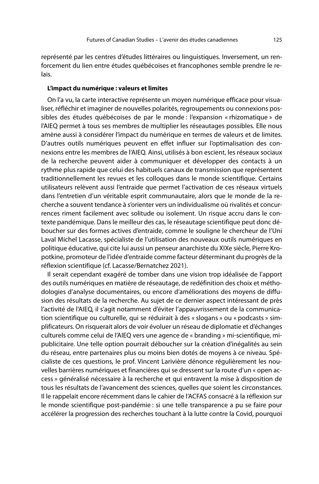représenté par les centres d'études littéraires ou linguistiques. Inversement, un renforcement du lien entre études québécoises et francophones semble prendre le relais.

### **L'impact du numérique : valeurs et limites**

On l'a vu, la carte interactive représente un moyen numérique efficace pour visualiser, réfléchir et imaginer de nouvelles polarités, regroupements ou connexions possibles des études québécoises de par le monde : l'expansion « rhizomatique » de l'AIEQ permet à tous ses membres de multiplier les réseautages possibles. Elle nous amène aussi à considérer l'impact du numérique en termes de valeurs et de limites. D'autres outils numériques peuvent en effet influer sur l'optimalisation des connexions entre les membres de l'AIEQ. Ainsi, utilisés à bon escient, les réseaux sociaux de la recherche peuvent aider à communiquer et développer des contacts à un rythme plus rapide que celui des habituels canaux de transmission que représentent traditionnellement les revues et les colloques dans le monde scientifique. Certains utilisateurs relèvent aussi l'entraide que permet l'activation de ces réseaux virtuels dans l'entretien d'un véritable esprit communautaire, alors que le monde de la recherche a souvent tendance à s'orienter vers un individualisme où rivalités et concurrences riment facilement avec solitude ou isolement. Un risque accru dans le contexte pandémique. Dans le meilleur des cas, le réseautage scientifique peut donc déboucher sur des formes actives d'entraide, comme le souligne le chercheur de l'Uni Laval Michel Lacasse, spécialiste de l'utilisation des nouveaux outils numériques en politique éducative, qui cite lui aussi un penseur anarchiste du XIXe siècle, Pierre Kropotkine, promoteur de l'idée d'entraide comme facteur déterminant du progrès de la réflexion scientifique (cf. Lacasse/Bernatchez 2021).

Il serait cependant exagéré de tomber dans une vision trop idéalisée de l'apport des outils numériques en matière de réseautage, de redéfinition des choix et méthodologies d'analyse documentaires, ou encore d'améliorations des moyens de diffusion des résultats de la recherche. Au sujet de ce dernier aspect intéressant de près l'activité de l'AIEQ, il s'agit notamment d'éviter l'appauvrissement de la communication scientifique ou culturelle, qui se réduirait à des « slogans » ou « podcasts » simplificateurs. On risquerait alors de voir évoluer un réseau de diplomatie et d'échanges culturels comme celui de l'AIEQ vers une agence de « branding » mi-scientifique, mipublicitaire. Une telle option pourrait déboucher sur la création d'inégalités au sein du réseau, entre partenaires plus ou moins bien dotés de moyens à ce niveau. Spécialiste de ces questions, le prof. Vincent Larivière dénonce régulièrement les nouvelles barrières numériques et financières qui se dressent sur la route d'un « open access » généralisé nécessaire à la recherche et qui entravent la mise à disposition de tous les résultats de l'avancement des sciences, quelles que soient les circonstances. Il le rappelait encore récemment dans le cahier de l'ACFAS consacré à la réflexion sur le monde scientifique post-pandémie : si une telle transparence a pu se faire pour accélérer la progression des recherches touchant à la lutte contre la Covid, pourquoi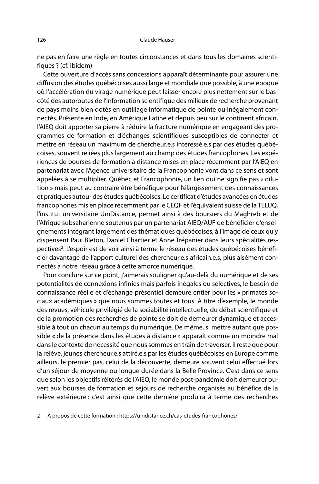ne pas en faire une règle en toutes circonstances et dans tous les domaines scientifiques ? (cf. ibidem)

Cette ouverture d'accès sans concessions apparaît déterminante pour assurer une diffusion des études québécoises aussi large et mondiale que possible, à une époque où l'accélération du virage numérique peut laisser encore plus nettement sur le bascôté des autoroutes de l'information scientifique des milieux de recherche provenant de pays moins bien dotés en outillage informatique de pointe ou inégalement connectés. Présente en Inde, en Amérique Latine et depuis peu sur le continent africain, l'AIEQ doit apporter sa pierre à réduire la fracture numérique en engageant des programmes de formation et d'échanges scientifiques susceptibles de connecter et mettre en réseau un maximum de chercheur.e.s intéressé.e.s par des études québécoises, souvent reliées plus largement au champ des études francophones. Les expériences de bourses de formation à distance mises en place récemment par l'AIEQ en partenariat avec l'Agence universitaire de la Francophonie vont dans ce sens et sont appelées à se multiplier. Québec et Francophonie, un lien qui ne signifie pas « dilution » mais peut au contraire être bénéfique pour l'élargissement des connaissances et pratiques autour des études québécoises. Le certificat d'études avancées en études francophones mis en place récemment par le CEQF et l'équivalent suisse de la TELUQ, l'institut universitaire UniDistance, permet ainsi à des boursiers du Maghreb et de l'Afrique subsaharienne soutenus par un partenariat AIEQ/AUF de bénéficier d'enseignements intégrant largement des thématiques québécoises, à l'image de ceux qu'y dispensent Paul Bleton, Daniel Chartier et Anne Trépanier dans leurs spécialités respectives<sup>2</sup>. L'espoir est de voir ainsi à terme le réseau des études québécoises bénéficier davantage de l'apport culturel des chercheur.e.s africain.e.s, plus aisément connectés à notre réseau grâce à cette amorce numérique.

Pour conclure sur ce point, j'aimerais souligner qu'au-delà du numérique et de ses potentialités de connexions infinies mais parfois inégales ou sélectives, le besoin de connaissance réelle et d'échange présentiel demeure entier pour les « primates sociaux académiques » que nous sommes toutes et tous. À titre d'exemple, le monde des revues, véhicule privilégié de la sociabilité intellectuelle, du débat scientifique et de la promotion des recherches de pointe se doit de demeurer dynamique et accessible à tout un chacun au temps du numérique. De même, si mettre autant que possible « de la présence dans les études à distance » apparaît comme un moindre mal dans le contexte de nécessité que nous sommes en train de traverser, il reste que pour la relève, jeunes chercheur.e.s attiré.e.s par les études québécoises en Europe comme ailleurs, le premier pas, celui de la découverte, demeure souvent celui effectué lors d'un séjour de moyenne ou longue durée dans la Belle Province. C'est dans ce sens que selon les objectifs réitérés de l'AIEQ, le monde post-pandémie doit demeurer ouvert aux bourses de formation et séjours de recherche organisés au bénéfice de la relève extérieure : c'est ainsi que cette dernière produira à terme des recherches

<sup>2</sup> A propos de cette formation : https://unidistance.ch/cas-etudes-francophones/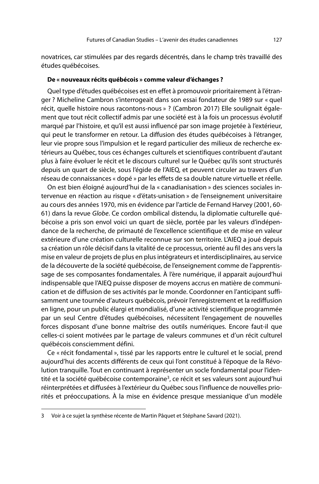novatrices, car stimulées par des regards décentrés, dans le champ très travaillé des études québécoises.

### **De « nouveaux récits québécois » comme valeur d'échanges ?**

Quel type d'études québécoises est en effet à promouvoir prioritairement à l'étranger ? Micheline Cambron s'interrogeait dans son essai fondateur de 1989 sur « quel récit, quelle histoire nous racontons-nous » ? (Cambron 2017) Elle soulignait également que tout récit collectif admis par une société est à la fois un processus évolutif marqué par l'histoire, et qu'il est aussi influencé par son image projetée à l'extérieur, qui peut le transformer en retour. La diffusion des études québécoises à l'étranger, leur vie propre sous l'impulsion et le regard particulier des milieux de recherche extérieurs au Québec, tous ces échanges culturels et scientifiques contribuent d'autant plus à faire évoluer le récit et le discours culturel sur le Québec qu'ils sont structurés depuis un quart de siècle, sous l'égide de l'AIEQ, et peuvent circuler au travers d'un réseau de connaissances « dopé » par les effets de sa double nature virtuelle et réelle.

On est bien éloigné aujourd'hui de la « canadianisation » des sciences sociales intervenue en réaction au risque « d'états-unisation » de l'enseignement universitaire au cours des années 1970, mis en évidence par l'article de Fernand Harvey (2001, 60- 61) dans la revue Globe. Ce cordon ombilical distendu, la diplomatie culturelle québécoise a pris son envol voici un quart de siècle, portée par les valeurs d'indépendance de la recherche, de primauté de l'excellence scientifique et de mise en valeur extérieure d'une création culturelle reconnue sur son territoire. L'AIEQ a joué depuis sa création un rôle décisif dans la vitalité de ce processus, orienté au fil des ans vers la mise en valeur de projets de plus en plus intégrateurs et interdisciplinaires, au service de la découverte de la société québécoise, de l'enseignement comme de l'apprentissage de ses composantes fondamentales. À l'ère numérique, il apparait aujourd'hui indispensable que l'AIEQ puisse disposer de moyens accrus en matière de communication et de diffusion de ses activités par le monde. Coordonner en l'anticipant suffisamment une tournée d'auteurs québécois, prévoir l'enregistrement et la rediffusion en ligne, pour un public élargi et mondialisé, d'une activité scientifique programmée par un seul Centre d'études québécoises, nécessitent l'engagement de nouvelles forces disposant d'une bonne maîtrise des outils numériques. Encore faut-il que celles-ci soient motivées par le partage de valeurs communes et d'un récit culturel québécois consciemment défini.

Ce « récit fondamental », tissé par les rapports entre le culturel et le social, prend aujourd'hui des accents différents de ceux qui l'ont constitué à l'époque de la Révolution tranquille. Tout en continuant à représenter un socle fondamental pour l'identité et la société québécoise contemporaine<sup>3</sup>, ce récit et ses valeurs sont aujourd'hui réinterprétées et diffusées à l'extérieur du Québec sous l'influence de nouvelles priorités et préoccupations. À la mise en évidence presque messianique d'un modèle

<sup>3</sup> Voir à ce sujet la synthèse récente de Martin Pâquet et Stéphane Savard (2021).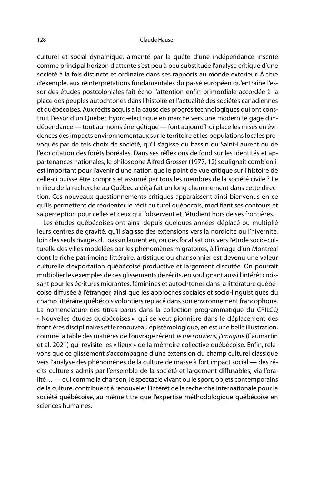#### 128 Claude Hauser

culturel et social dynamique, aimanté par la quête d'une indépendance inscrite comme principal horizon d'attente s'est peu à peu substituée l'analyse critique d'une société à la fois distincte et ordinaire dans ses rapports au monde extérieur. À titre d'exemple, aux réinterprétations fondamentales du passé européen qu'entraîne l'essor des études postcoloniales fait écho l'attention enfin primordiale accordée à la place des peuples autochtones dans l'histoire et l'actualité des sociétés canadiennes et québécoises. Aux récits acquis à la cause des progrès technologiques qui ont construit l'essor d'un Québec hydro-électrique en marche vers une modernité gage d'indépendance — tout au moins énergétique — font aujourd'hui place les mises en évidences des impacts environnementaux sur le territoire et les populations locales provoqués par de tels choix de société, qu'il s'agisse du bassin du Saint-Laurent ou de l'exploitation des forêts boréales. Dans ses réflexions de fond sur les identités et appartenances nationales, le philosophe Alfred Grosser (1977, 12) soulignait combien il est important pour l'avenir d'une nation que le point de vue critique sur l'histoire de celle-ci puisse être compris et assumé par tous les membres de la société civile ? Le milieu de la recherche au Québec a déjà fait un long cheminement dans cette direction. Ces nouveaux questionnements critiques apparaissent ainsi bienvenus en ce qu'ils permettent de réorienter le récit culturel québécois, modifiant ses contours et sa perception pour celles et ceux qui l'observent et l'étudient hors de ses frontières.

Les études québécoises ont ainsi depuis quelques années déplacé ou multiplié leurs centres de gravité, qu'il s'agisse des extensions vers la nordicité ou l'hivernité, loin des seuls rivages du bassin laurentien, ou des focalisations vers l'étude socio-culturelle des villes modelées par les phénomènes migratoires, à l'image d'un Montréal dont le riche patrimoine littéraire, artistique ou chansonnier est devenu une valeur culturelle d'exportation québécoise productive et largement discutée. On pourrait multiplier les exemples de ces glissements de récits, en soulignant aussi l'intérêt croissant pour les écritures migrantes, féminines et autochtones dans la littérature québécoise diffusée à l'étranger, ainsi que les approches sociales et socio-linguistiques du champ littéraire québécois volontiers replacé dans son environnement francophone. La nomenclature des titres parus dans la collection programmatique du CRILCQ « Nouvelles études québécoises », qui se veut pionnière dans le déplacement des frontières disciplinaires et le renouveau épistémologique, en est une belle illustration, comme la table des matières de l'ouvrage récent Je me souviens, j'imagine (Caumartin et al. 2021) qui revisite les « lieux » de la mémoire collective québécoise. Enfin, relevons que ce glissement s'accompagne d'une extension du champ culturel classique vers l'analyse des phénomènes de la culture de masse à fort impact social — des récits culturels admis par l'ensemble de la société et largement diffusables, via l'oralité… — qui comme la chanson, le spectacle vivant ou le sport, objets contemporains de la culture, contribuent à renouveler l'intérêt de la recherche internationale pour la société québécoise, au même titre que l'expertise méthodologique québécoise en sciences humaines.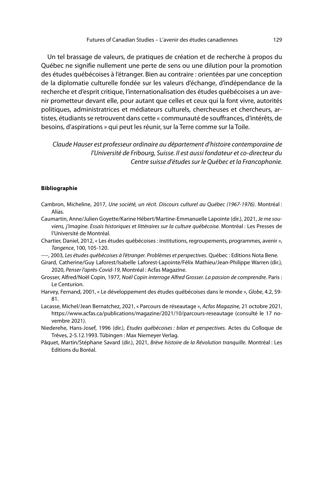Un tel brassage de valeurs, de pratiques de création et de recherche à propos du Québec ne signifie nullement une perte de sens ou une dilution pour la promotion des études québécoises à l'étranger. Bien au contraire : orientées par une conception de la diplomatie culturelle fondée sur les valeurs d'échange, d'indépendance de la recherche et d'esprit critique, l'internationalisation des études québécoises a un avenir prometteur devant elle, pour autant que celles et ceux qui la font vivre, autorités politiques, administratrices et médiateurs culturels, chercheuses et chercheurs, artistes, étudiants se retrouvent dans cette « communauté de souffrances, d'intérêts, de besoins, d'aspirations » qui peut les réunir, sur la Terre comme sur la Toile.

Claude Hauser est professeur ordinaire au département d'histoire contemporaine de l'Université de Fribourg, Suisse. Il est aussi fondateur et co-directeur du Centre suisse d'études sur le Québec et la Francophonie.

#### **Bibliographie**

- Cambron, Micheline, 2017, Une société, un récit. Discours culturel au Québec (1967-1976). Montréal : Alias.
- Caumartin, Anne/Julien Goyette/Karine Hébert/Martine-Emmanuelle Lapointe (dir.), 2021, Je me souviens, j'imagine. Essais historiques et littéraires sur la culture québécoise. Montréal : Les Presses de l'Université de Montréal.
- Chartier, Daniel, 2012, « Les études québécoises : institutions, regroupements, programmes, avenir », Tangence, 100, 105-120.
- ----, 2003, Les études québécoises à l'étranger. Problèmes et perspectives. Québec : Editions Nota Bene.
- Girard, Catherine/Guy Laforest/Isabelle Laforest-Lapointe/Félix Mathieu/Jean-Philippe Warren (dir.), 2020, Penser l'après-Covid-19, Montréal : Acfas Magazine.
- Grosser, Alfred/Noël Copin, 1977, Noël Copin interroge Alfred Grosser. La passion de comprendre. Paris : Le Centurion.
- Harvey, Fernand, 2001, « Le développement des études québécoises dans le monde », Globe, 4.2, 59- 81.
- Lacasse, Michel/Jean Bernatchez, 2021, « Parcours de réseautage », Acfas Magazine, 21 octobre 2021, https://www.acfas.ca/publications/magazine/2021/10/parcours-reseautage (consulté le 17 novembre 2021).
- Niederehe, Hans-Josef, 1996 (dir.), Etudes québécoises : bilan et perspectives. Actes du Colloque de Trêves, 2-5.12.1993. Tübingen : Max Niemeyer Verlag.
- Pâquet, Martin/Stéphane Savard (dir.), 2021, Brève histoire de la Révolution tranquille. Montréal : Les Editions du Boréal.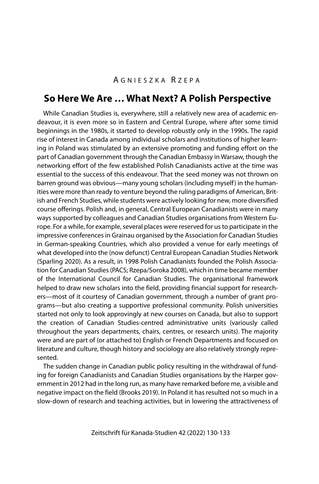## A GNIESZKA R ZEPA

## **So Here We Are … What Next? A Polish Perspective**

While Canadian Studies is, everywhere, still a relatively new area of academic endeavour, it is even more so in Eastern and Central Europe, where after some timid beginnings in the 1980s, it started to develop robustly only in the 1990s. The rapid rise of interest in Canada among individual scholars and institutions of higher learning in Poland was stimulated by an extensive promoting and funding effort on the part of Canadian government through the Canadian Embassy in Warsaw, though the networking effort of the few established Polish Canadianists active at the time was essential to the success of this endeavour. That the seed money was not thrown on barren ground was obvious—many young scholars (including myself) in the humanities were more than ready to venture beyond the ruling paradigms of American, British and French Studies, while students were actively looking for new, more diversified course offerings. Polish and, in general, Central European Canadianists were in many ways supported by colleagues and Canadian Studies organisations from Western Europe. For a while, for example, several places were reserved for us to participate in the impressive conferences in Grainau organised by the Association for Canadian Studies in German-speaking Countries, which also provided a venue for early meetings of what developed into the (now defunct) Central European Canadian Studies Network (Sparling 2020). As a result, in 1998 Polish Canadianists founded the Polish Association for Canadian Studies (PACS; Rzepa/Soroka 2008), which in time became member of the International Council for Canadian Studies. The organisational framework helped to draw new scholars into the field, providing financial support for researchers—most of it courtesy of Canadian government, through a number of grant programs—but also creating a supportive professional community. Polish universities started not only to look approvingly at new courses on Canada, but also to support the creation of Canadian Studies-centred administrative units (variously called throughout the years departments, chairs, centres, or research units). The majority were and are part of (or attached to) English or French Departments and focused on literature and culture, though history and sociology are also relatively strongly represented.

The sudden change in Canadian public policy resulting in the withdrawal of funding for foreign Canadianists and Canadian Studies organisations by the Harper government in 2012 had in the long run, as many have remarked before me, a visible and negative impact on the field (Brooks 2019). In Poland it has resulted not so much in a slow-down of research and teaching activities, but in lowering the attractiveness of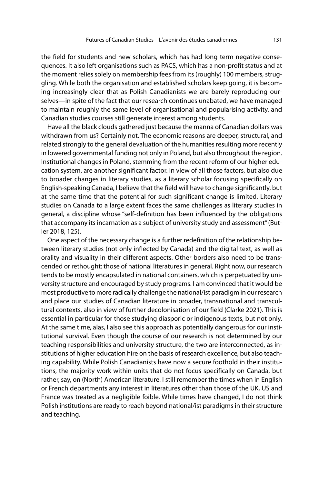the field for students and new scholars, which has had long term negative consequences. It also left organisations such as PACS, which has a non-profit status and at the moment relies solely on membership fees from its (roughly) 100 members, struggling. While both the organisation and established scholars keep going, it is becoming increasingly clear that as Polish Canadianists we are barely reproducing ourselves—in spite of the fact that our research continues unabated, we have managed to maintain roughly the same level of organisational and popularising activity, and Canadian studies courses still generate interest among students.

Have all the black clouds gathered just because the manna of Canadian dollars was withdrawn from us? Certainly not. The economic reasons are deeper, structural, and related strongly to the general devaluation of the humanities resulting more recently in lowered governmental funding not only in Poland, but also throughout the region. Institutional changes in Poland, stemming from the recent reform of our higher education system, are another significant factor. In view of all those factors, but also due to broader changes in literary studies, as a literary scholar focusing specifically on English-speaking Canada, I believe that the field will have to change significantly, but at the same time that the potential for such significant change is limited. Literary studies on Canada to a large extent faces the same challenges as literary studies in general, a discipline whose "self-definition has been influenced by the obligations that accompany its incarnation as a subject of university study and assessment" (Butler 2018, 125).

One aspect of the necessary change is a further redefinition of the relationship between literary studies (not only inflected by Canada) and the digital text, as well as orality and visuality in their different aspects. Other borders also need to be transcended or rethought: those of national literatures in general. Right now, our research tends to be mostly encapsulated in national containers, which is perpetuated by university structure and encouraged by study programs. I am convinced that it would be most productive to more radically challenge the national/ist paradigm in our research and place our studies of Canadian literature in broader, transnational and transcultural contexts, also in view of further decolonisation of our field (Clarke 2021). This is essential in particular for those studying diasporic or indigenous texts, but not only. At the same time, alas, I also see this approach as potentially dangerous for our institutional survival. Even though the course of our research is not determined by our teaching responsibilities and university structure, the two are interconnected, as institutions of higher education hire on the basis of research excellence, but also teaching capability. While Polish Canadianists have now a secure foothold in their institutions, the majority work within units that do not focus specifically on Canada, but rather, say, on (North) American literature. I still remember the times when in English or French departments any interest in literatures other than those of the UK, US and France was treated as a negligible foible. While times have changed, I do not think Polish institutions are ready to reach beyond national/ist paradigms in their structure and teaching.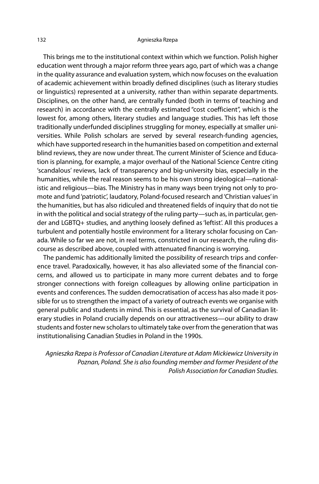#### 132 Agnieszka Rzepa

This brings me to the institutional context within which we function. Polish higher education went through a major reform three years ago, part of which was a change in the quality assurance and evaluation system, which now focuses on the evaluation of academic achievement within broadly defined disciplines (such as literary studies or linguistics) represented at a university, rather than within separate departments. Disciplines, on the other hand, are centrally funded (both in terms of teaching and research) in accordance with the centrally estimated "cost coefficient", which is the lowest for, among others, literary studies and language studies. This has left those traditionally underfunded disciplines struggling for money, especially at smaller universities. While Polish scholars are served by several research-funding agencies, which have supported research in the humanities based on competition and external blind reviews, they are now under threat. The current Minister of Science and Education is planning, for example, a major overhaul of the National Science Centre citing 'scandalous' reviews, lack of transparency and big-university bias, especially in the humanities, while the real reason seems to be his own strong ideological—nationalistic and religious—bias. The Ministry has in many ways been trying not only to promote and fund 'patriotic', laudatory, Poland-focused research and 'Christian values' in the humanities, but has also ridiculed and threatened fields of inquiry that do not tie in with the political and social strategy of the ruling party—such as, in particular, gender and LGBTQ+ studies, and anything loosely defined as 'leftist'. All this produces a turbulent and potentially hostile environment for a literary scholar focusing on Canada. While so far we are not, in real terms, constricted in our research, the ruling discourse as described above, coupled with attenuated financing is worrying.

The pandemic has additionally limited the possibility of research trips and conference travel. Paradoxically, however, it has also alleviated some of the financial concerns, and allowed us to participate in many more current debates and to forge stronger connections with foreign colleagues by allowing online participation in events and conferences. The sudden democratisation of access has also made it possible for us to strengthen the impact of a variety of outreach events we organise with general public and students in mind. This is essential, as the survival of Canadian literary studies in Poland crucially depends on our attractiveness—our ability to draw students and foster new scholars to ultimately take over from the generation that was institutionalising Canadian Studies in Poland in the 1990s.

Agnieszka Rzepa is Professor of Canadian Literature at Adam Mickiewicz University in Poznan, Poland. She is also founding member and former President of the Polish Association for Canadian Studies.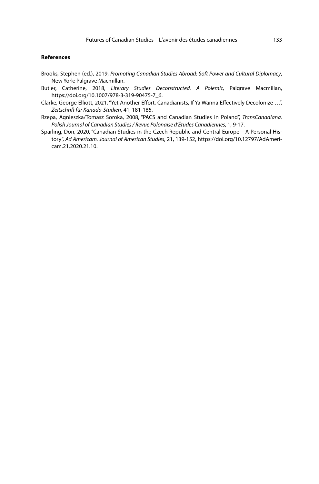### **References**

- Brooks, Stephen (ed.), 2019, Promoting Canadian Studies Abroad: Soft Power and Cultural Diplomacy, New York: Palgrave Macmillan.
- Butler, Catherine, 2018, Literary Studies Deconstructed. A Polemic, Palgrave Macmillan, https://doi.org/10.1007/978-3-319-90475-7\_6.
- Clarke, George Elliott, 2021, "Yet Another Effort, Canadianists, If Ya Wanna Effectively Decolonize …", Zeitschrift für Kanada-Studien, 41, 181-185.
- Rzepa, Agnieszka/Tomasz Soroka, 2008, "PACS and Canadian Studies in Poland", TransCanadiana. Polish Journal of Canadian Studies / Revue Polonaise d'Études Canadiennes, 1, 9-17.
- Sparling, Don, 2020, "Canadian Studies in the Czech Republic and Central Europe—A Personal History", Ad Americam. Journal of American Studies, 21, 139-152, https://doi.org/10.12797/AdAmericam.21.2020.21.10.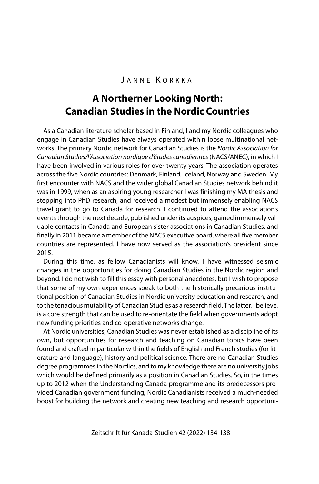## JANNE KORKKA

# **A Northerner Looking North: Canadian Studies in the Nordic Countries**

As a Canadian literature scholar based in Finland, I and my Nordic colleagues who engage in Canadian Studies have always operated within loose multinational networks. The primary Nordic network for Canadian Studies is the Nordic Association for Canadian Studies/l'Association nordique d'études canadiennes (NACS/ANEC), in which I have been involved in various roles for over twenty years. The association operates across the five Nordic countries: Denmark, Finland, Iceland, Norway and Sweden. My first encounter with NACS and the wider global Canadian Studies network behind it was in 1999, when as an aspiring young researcher I was finishing my MA thesis and stepping into PhD research, and received a modest but immensely enabling NACS travel grant to go to Canada for research. I continued to attend the association's events through the next decade, published under its auspices, gained immensely valuable contacts in Canada and European sister associations in Canadian Studies, and finally in 2011 became a member of the NACS executive board, where all five member countries are represented. I have now served as the association's president since 2015.

During this time, as fellow Canadianists will know, I have witnessed seismic changes in the opportunities for doing Canadian Studies in the Nordic region and beyond. I do not wish to fill this essay with personal anecdotes, but I wish to propose that some of my own experiences speak to both the historically precarious institutional position of Canadian Studies in Nordic university education and research, and to the tenacious mutability of Canadian Studies as a research field. The latter, I believe, is a core strength that can be used to re-orientate the field when governments adopt new funding priorities and co-operative networks change.

At Nordic universities, Canadian Studies was never established as a discipline of its own, but opportunities for research and teaching on Canadian topics have been found and crafted in particular within the fields of English and French studies (for literature and language), history and political science. There are no Canadian Studies degree programmes in the Nordics, and to my knowledge there are no university jobs which would be defined primarily as a position in Canadian Studies. So, in the times up to 2012 when the Understanding Canada programme and its predecessors provided Canadian government funding, Nordic Canadianists received a much-needed boost for building the network and creating new teaching and research opportuni-

Zeitschrift für Kanada-Studien 42 (2022) 134-138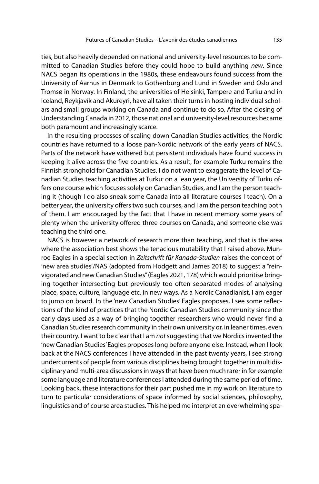ties, but also heavily depended on national and university-level resources to be committed to Canadian Studies before they could hope to build anything new. Since NACS began its operations in the 1980s, these endeavours found success from the University of Aarhus in Denmark to Gothenburg and Lund in Sweden and Oslo and Tromsø in Norway. In Finland, the universities of Helsinki, Tampere and Turku and in Iceland, Reykjavík and Akureyri, have all taken their turns in hosting individual scholars and small groups working on Canada and continue to do so. After the closing of Understanding Canada in 2012, those national and university-level resources became both paramount and increasingly scarce.

In the resulting processes of scaling down Canadian Studies activities, the Nordic countries have returned to a loose pan-Nordic network of the early years of NACS. Parts of the network have withered but persistent individuals have found success in keeping it alive across the five countries. As a result, for example Turku remains the Finnish stronghold for Canadian Studies. I do not want to exaggerate the level of Canadian Studies teaching activities at Turku: on a lean year, the University of Turku offers one course which focuses solely on Canadian Studies, and I am the person teaching it (though I do also sneak some Canada into all literature courses I teach). On a better year, the university offers two such courses, and I am the person teaching both of them. I am encouraged by the fact that I have in recent memory some years of plenty when the university offered three courses on Canada, and someone else was teaching the third one.

NACS is however a network of research more than teaching, and that is the area where the association best shows the tenacious mutability that I raised above. Munroe Eagles in a special section in Zeitschrift für Kanada-Studien raises the concept of 'new area studies'/NAS (adopted from Hodgett and James 2018) to suggest a "reinvigorated and new Canadian Studies" (Eagles 2021, 178) which would prioritise bringing together intersecting but previously too often separated modes of analysing place, space, culture, language etc. in new ways. As a Nordic Canadianist, I am eager to jump on board. In the 'new Canadian Studies' Eagles proposes, I see some reflections of the kind of practices that the Nordic Canadian Studies community since the early days used as a way of bringing together researchers who would never find a Canadian Studies research community in their own university or, in leaner times, even their country. I want to be clear that I am not suggesting that we Nordics invented the 'new Canadian Studies' Eagles proposes long before anyone else. Instead, when I look back at the NACS conferences I have attended in the past twenty years, I see strong undercurrents of people from various disciplines being brought together in multidisciplinary and multi-area discussions in ways that have been much rarer in for example some language and literature conferences I attended during the same period of time. Looking back, these interactions for their part pushed me in my work on literature to turn to particular considerations of space informed by social sciences, philosophy, linguistics and of course area studies. This helped me interpret an overwhelming spa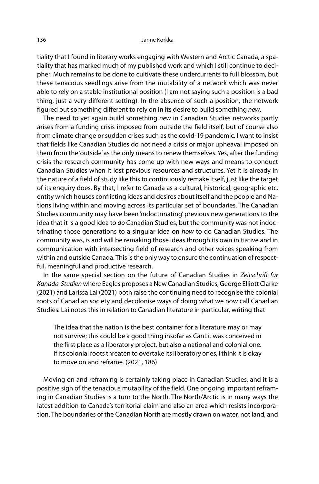tiality that I found in literary works engaging with Western and Arctic Canada, a spatiality that has marked much of my published work and which I still continue to decipher. Much remains to be done to cultivate these undercurrents to full blossom, but these tenacious seedlings arise from the mutability of a network which was never able to rely on a stable institutional position (I am not saying such a position is a bad thing, just a very different setting). In the absence of such a position, the network figured out something different to rely on in its desire to build something new.

The need to yet again build something new in Canadian Studies networks partly arises from a funding crisis imposed from outside the field itself, but of course also from climate change or sudden crises such as the covid-19 pandemic. I want to insist that fields like Canadian Studies do not need a crisis or major upheaval imposed on them from the 'outside' as the only means to renew themselves. Yes, after the funding crisis the research community has come up with new ways and means to conduct Canadian Studies when it lost previous resources and structures. Yet it is already in the nature of a field of study like this to continuously remake itself, just like the target of its enquiry does. By that, I refer to Canada as a cultural, historical, geographic etc. entity which houses conflicting ideas and desires about itself and the people and Nations living within and moving across its particular set of boundaries. The Canadian Studies community may have been 'indoctrinating' previous new generations to the idea that it is a good idea to do Canadian Studies, but the community was not indoctrinating those generations to a singular idea on how to do Canadian Studies. The community was, is and will be remaking those ideas through its own initiative and in communication with intersecting field of research and other voices speaking from within and outside Canada. This is the only way to ensure the continuation of respectful, meaningful and productive research.

In the same special section on the future of Canadian Studies in Zeitschrift für Kanada-Studien where Eagles proposes a New Canadian Studies, George Elliott Clarke (2021) and Larissa Lai (2021) both raise the continuing need to recognise the colonial roots of Canadian society and decolonise ways of doing what we now call Canadian Studies. Lai notes this in relation to Canadian literature in particular, writing that

The idea that the nation is the best container for a literature may or may not survive; this could be a good thing insofar as CanLit was conceived in the first place as a liberatory project, but also a national and colonial one. If its colonial roots threaten to overtake its liberatory ones, I think it is okay to move on and reframe. (2021, 186)

Moving on and reframing is certainly taking place in Canadian Studies, and it is a positive sign of the tenacious mutability of the field. One ongoing important reframing in Canadian Studies is a turn to the North. The North/Arctic is in many ways the latest addition to Canada's territorial claim and also an area which resists incorporation. The boundaries of the Canadian North are mostly drawn on water, not land, and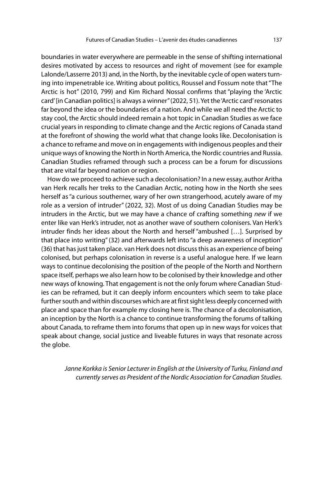boundaries in water everywhere are permeable in the sense of shifting international desires motivated by access to resources and right of movement (see for example Lalonde/Lasserre 2013) and, in the North, by the inevitable cycle of open waters turning into impenetrable ice. Writing about politics, Roussel and Fossum note that "The Arctic is hot" (2010, 799) and Kim Richard Nossal confirms that "playing the 'Arctic card' [in Canadian politics] is always a winner" (2022, 51). Yet the 'Arctic card' resonates far beyond the idea or the boundaries of a nation. And while we all need the Arctic to stay cool, the Arctic should indeed remain a hot topic in Canadian Studies as we face crucial years in responding to climate change and the Arctic regions of Canada stand at the forefront of showing the world what that change looks like. Decolonisation is a chance to reframe and move on in engagements with indigenous peoples and their unique ways of knowing the North in North America, the Nordic countries and Russia. Canadian Studies reframed through such a process can be a forum for discussions that are vital far beyond nation or region.

How do we proceed to achieve such a decolonisation? In a new essay, author Aritha van Herk recalls her treks to the Canadian Arctic, noting how in the North she sees herself as "a curious southerner, wary of her own strangerhood, acutely aware of my role as a version of intruder" (2022, 32). Most of us doing Canadian Studies may be intruders in the Arctic, but we may have a chance of crafting something new if we enter like van Herk's intruder, not as another wave of southern colonisers. Van Herk's intruder finds her ideas about the North and herself "ambushed […]. Surprised by that place into writing" (32) and afterwards left into "a deep awareness of inception" (36) that has just taken place. van Herk does not discuss this as an experience of being colonised, but perhaps colonisation in reverse is a useful analogue here. If we learn ways to continue decolonising the position of the people of the North and Northern space itself, perhaps we also learn how to be colonised by their knowledge and other new ways of knowing. That engagement is not the only forum where Canadian Studies can be reframed, but it can deeply inform encounters which seem to take place further south and within discourses which are at first sight less deeply concerned with place and space than for example my closing here is. The chance of a decolonisation, an inception by the North is a chance to continue transforming the forums of talking about Canada, to reframe them into forums that open up in new ways for voices that speak about change, social justice and liveable futures in ways that resonate across the globe.

Janne Korkka is Senior Lecturer in English at the University of Turku, Finland and currently serves as President of the Nordic Association for Canadian Studies.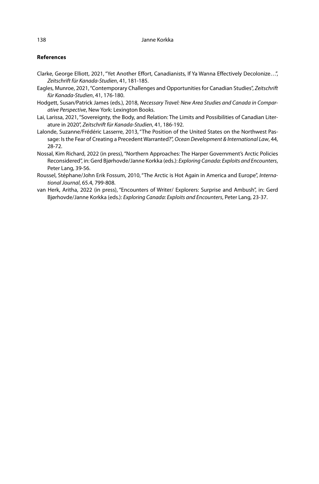### **References**

- Clarke, George Elliott, 2021, "Yet Another Effort, Canadianists, If Ya Wanna Effectively Decolonize…", Zeitschrift für Kanada-Studien, 41, 181-185.
- Eagles, Munroe, 2021, "Contemporary Challenges and Opportunities for Canadian Studies", Zeitschrift für Kanada-Studien, 41, 176-180.
- Hodgett, Susan/Patrick James (eds.), 2018, Necessary Travel: New Area Studies and Canada in Comparative Perspective, New York: Lexington Books.
- Lai, Larissa, 2021, "Sovereignty, the Body, and Relation: The Limits and Possibilities of Canadian Literature in 2020", Zeitschrift für Kanada-Studien, 41, 186-192.
- Lalonde, Suzanne/Frédéric Lasserre, 2013, "The Position of the United States on the Northwest Passage: Is the Fear of Creating a Precedent Warranted?", Ocean Development & International Law, 44, 28-72.
- Nossal, Kim Richard, 2022 (in press), "Northern Approaches: The Harper Government's Arctic Policies Reconsidered", in: Gerd Bjørhovde/Janne Korkka (eds.): Exploring Canada: Exploits and Encounters, Peter Lang, 39-56.
- Roussel, Stéphane/John Erik Fossum, 2010, "The Arctic is Hot Again in America and Europe", International Journal, 65.4, 799-808.
- van Herk, Aritha, 2022 (in press), "Encounters of Writer/ Explorers: Surprise and Ambush", in: Gerd Bjørhovde/Janne Korkka (eds.): Exploring Canada: Exploits and Encounters, Peter Lang, 23-37.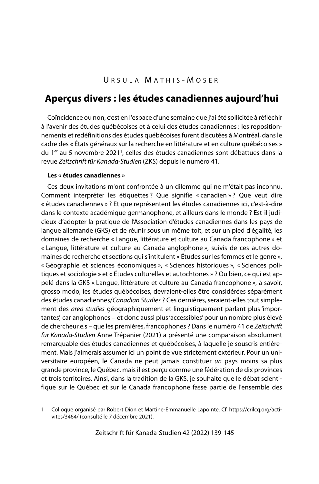# **Aperçus divers : les études canadiennes aujourd'hui**

Coïncidence ou non, c'est en l'espace d'une semaine que j'ai été sollicitée à réfléchir à l'avenir des études québécoises et à celui des études canadiennes : les repositionnements et redéfinitions des études québécoises furent discutées à Montréal, dans le cadre des « États généraux sur la recherche en littérature et en culture québécoises » du 1<sup>er</sup> au 5 novembre 2021<sup>1</sup>, celles des études canadiennes sont débattues dans la revue Zeitschrift für Kanada-Studien (ZKS) depuis le numéro 41.

### **Les « études canadiennes »**

Ces deux invitations m'ont confrontée à un dilemme qui ne m'était pas inconnu. Comment interpréter les étiquettes ? Que signifie « canadien » ? Que veut dire « études canadiennes » ? Et que représentent les études canadiennes ici, c'est-à-dire dans le contexte académique germanophone, et ailleurs dans le monde ? Est-il judicieux d'adopter la pratique de l'Association d'études canadiennes dans les pays de langue allemande (GKS) et de réunir sous un même toit, et sur un pied d'égalité, les domaines de recherche « Langue, littérature et culture au Canada francophone » et « Langue, littérature et culture au Canada anglophone », suivis de ces autres domaines de recherche et sections qui s'intitulent « Études sur les femmes et le genre », « Géographie et sciences économiques », « Sciences historiques », « Sciences politiques et sociologie » et « Études culturelles et autochtones » ? Ou bien, ce qui est appelé dans la GKS « Langue, littérature et culture au Canada francophone », à savoir, grosso modo, les études québécoises, devraient-elles être considérées séparément des études canadiennes/Canadian Studies ? Ces dernières, seraient-elles tout simplement des *area studies* géographiquement et linguistiquement parlant plus 'importantes', car anglophones – et donc aussi plus 'accessibles' pour un nombre plus élevé de chercheur.e.s – que les premières, francophones ? Dans le numéro 41 de Zeitschrift für Kanada-Studien Anne Trépanier (2021) a présenté une comparaison absolument remarquable des études canadiennes et québécoises, à laquelle je souscris entièrement. Mais j'aimerais assumer ici un point de vue strictement extérieur. Pour un universitaire européen, le Canada ne peut jamais constituer un pays moins sa plus grande province, le Québec, mais il est perçu comme une fédération de dix provinces et trois territoires. Ainsi, dans la tradition de la GKS, je souhaite que le débat scientifique sur le Québec et sur le Canada francophone fasse partie de l'ensemble des

<sup>1</sup> Colloque organisé par Robert Dion et Martine-Emmanuelle Lapointe. Cf. https://crilcq.org/activites/3464/ (consulté le 7 décembre 2021).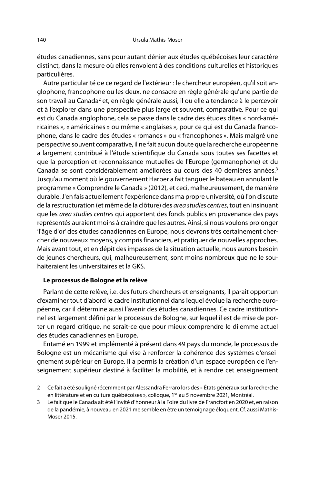études canadiennes, sans pour autant dénier aux études québécoises leur caractère distinct, dans la mesure où elles renvoient à des conditions culturelles et historiques particulières.

Autre particularité de ce regard de l'extérieur : le chercheur européen, qu'il soit anglophone, francophone ou les deux, ne consacre en règle générale qu'une partie de son travail au Canada<sup>2</sup> et, en règle générale aussi, il ou elle a tendance à le percevoir et à l'explorer dans une perspective plus large et souvent, comparative. Pour ce qui est du Canada anglophone, cela se passe dans le cadre des études dites « nord-américaines », « américaines » ou même « anglaises », pour ce qui est du Canada francophone, dans le cadre des études « romanes » ou « francophones ». Mais malgré une perspective souvent comparative, il ne fait aucun doute que la recherche européenne a largement contribué à l'étude scientifique du Canada sous toutes ses facettes et que la perception et reconnaissance mutuelles de l'Europe (germanophone) et du Canada se sont considérablement améliorées au cours des 40 dernières années.<sup>3</sup> Jusqu'au moment où le gouvernement Harper a fait tanguer le bateau en annulant le programme « Comprendre le Canada » (2012), et ceci, malheureusement, de manière durable. J'en fais actuellement l'expérience dans ma propre université, où l'on discute de la restructuration (et même de la clôture) des area studies centres, tout en insinuant que les *area studies centres* qui apportent des fonds publics en provenance des pays représentés auraient moins à craindre que les autres. Ainsi, si nous voulons prolonger 'l'âge d'or' des études canadiennes en Europe, nous devrons très certainement chercher de nouveaux moyens, y compris financiers, et pratiquer de nouvelles approches. Mais avant tout, et en dépit des impasses de la situation actuelle, nous aurons besoin de jeunes chercheurs, qui, malheureusement, sont moins nombreux que ne le souhaiteraient les universitaires et la GKS.

### **Le processus de Bologne et la relève**

Parlant de cette relève, i.e. des futurs chercheurs et enseignants, il paraît opportun d'examiner tout d'abord le cadre institutionnel dans lequel évolue la recherche européenne, car il détermine aussi l'avenir des études canadiennes. Ce cadre institutionnel est largement défini par le processus de Bologne, sur lequel il est de mise de porter un regard critique, ne serait-ce que pour mieux comprendre le dilemme actuel des études canadiennes en Europe.

Entamé en 1999 et implémenté à présent dans 49 pays du monde, le processus de Bologne est un mécanisme qui vise à renforcer la cohérence des systèmes d'enseignement supérieur en Europe. Il a permis la création d'un espace européen de l'enseignement supérieur destiné à faciliter la mobilité, et à rendre cet enseignement

<sup>2</sup> Ce fait a été souligné récemment par Alessandra Ferraro lors des « États généraux sur la recherche en littérature et en culture québécoises », colloque, 1<sup>er</sup> au 5 novembre 2021, Montréal.

<sup>3</sup> Le fait que le Canada ait été l'invité d'honneur à la Foire du livre de Francfort en 2020 et, en raison de la pandémie, à nouveau en 2021 me semble en être un témoignage éloquent. Cf. aussi Mathis-Moser 2015.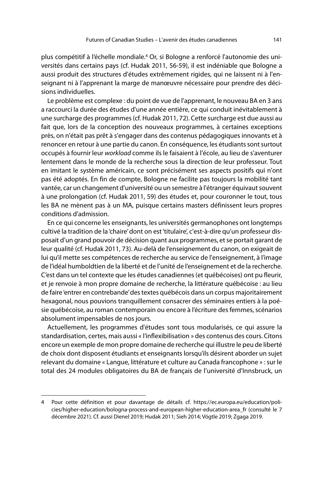plus compétitif à l'échelle mondiale.<sup>4</sup> Or, si Bologne a renforcé l'autonomie des universités dans certains pays (cf. Hudak 2011, 56-59), il est indéniable que Bologne a aussi produit des structures d'études extrêmement rigides, qui ne laissent ni à l'enseignant ni à l'apprenant la marge de manœuvre nécessaire pour prendre des décisions individuelles.

Le problème est complexe : du point de vue de l'apprenant, le nouveau BA en 3 ans a raccourci la durée des études d'une année entière, ce qui conduit inévitablement à une surcharge des programmes (cf. Hudak 2011, 72). Cette surcharge est due aussi au fait que, lors de la conception des nouveaux programmes, à certaines exceptions près, on n'était pas prêt à s'engager dans des contenus pédagogiques innovants et à renoncer en retour à une partie du canon. En conséquence, les étudiants sont surtout occupés à fournir leur workload comme ils le faisaient à l'école, au lieu de s'aventurer lentement dans le monde de la recherche sous la direction de leur professeur. Tout en imitant le système américain, ce sont précisément ses aspects positifs qui n'ont pas été adoptés. En fin de compte, Bologne ne facilite pas toujours la mobilité tant vantée, car un changement d'université ou un semestre à l'étranger équivaut souvent à une prolongation (cf. Hudak 2011, 59) des études et, pour couronner le tout, tous les BA ne mènent pas à un MA, puisque certains masters définissent leurs propres conditions d'admission.

En ce qui concerne les enseignants, les universités germanophones ont longtemps cultivé la tradition de la 'chaire' dont on est 'titulaire', c'est-à-dire qu'un professeur disposait d'un grand pouvoir de décision quant aux programmes, et se portait garant de leur qualité (cf. Hudak 2011, 73). Au-delà de l'enseignement du canon, on exigeait de lui qu'il mette ses compétences de recherche au service de l'enseignement, à l'image de l'idéal humboldtien de la liberté et de l'unité de l'enseignement et de la recherche. C'est dans un tel contexte que les études canadiennes (et québécoises) ont pu fleurir, et je renvoie à mon propre domaine de recherche, la littérature québécoise : au lieu de faire 'entrer en contrebande' des textes québécois dans un corpus majoritairement hexagonal, nous pouvions tranquillement consacrer des séminaires entiers à la poésie québécoise, au roman contemporain ou encore à l'écriture des femmes, scénarios absolument impensables de nos jours.

Actuellement, les programmes d'études sont tous modularisés, ce qui assure la standardisation, certes, mais aussi « l'inflexibilisation » des contenus des cours. Citons encore un exemple de mon propre domaine de recherche qui illustre le peu de liberté de choix dont disposent étudiants et enseignants lorsqu'ils désirent aborder un sujet relevant du domaine « Langue, littérature et culture au Canada francophone » : sur le total des 24 modules obligatoires du BA de français de l'université d'Innsbruck, un

<sup>4</sup> Pour cette définition et pour davantage de détails cf. https://ec.europa.eu/education/policies/higher-education/bologna-process-and-european-higher-education-area\_fr (consulté le 7 décembre 2021). Cf. aussi Dienel 2019; Hudak 2011; Sieh 2014; Vögtle 2019; Zgaga 2019.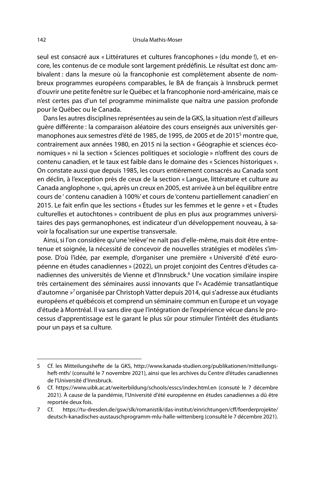seul est consacré aux « Littératures et cultures francophones » (du monde !), et encore, les contenus de ce module sont largement prédéfinis. Le résultat est donc ambivalent : dans la mesure où la francophonie est complètement absente de nombreux programmes européens comparables, le BA de français à Innsbruck permet d'ouvrir une petite fenêtre sur le Québec et la francophonie nord-américaine, mais ce n'est certes pas d'un tel programme minimaliste que naîtra une passion profonde pour le Québec ou le Canada.

Dans les autres disciplines représentées au sein de la GKS, la situation n'est d'ailleurs guère différente : la comparaison aléatoire des cours enseignés aux universités germanophones aux semestres d'été de 1985, de 1995, de 2005 et de 2015<sup>5</sup> montre que, contrairement aux années 1980, en 2015 ni la section « Géographie et sciences économiques » ni la section « Sciences politiques et sociologie » n'offrent des cours de contenu canadien, et le taux est faible dans le domaine des « Sciences historiques ». On constate aussi que depuis 1985, les cours entièrement consacrés au Canada sont en déclin, à l'exception près de ceux de la section « Langue, littérature et culture au Canada anglophone », qui, après un creux en 2005, est arrivée à un bel équilibre entre cours de ' contenu canadien à 100%' et cours de 'contenu partiellement canadien' en 2015. Le fait enfin que les sections « Études sur les femmes et le genre » et « Études culturelles et autochtones » contribuent de plus en plus aux programmes universitaires des pays germanophones, est indicateur d'un développement nouveau, à savoir la focalisation sur une expertise transversale.

Ainsi, si l'on considère qu'une 'relève' ne naît pas d'elle-même, mais doit être entretenue et soignée, la nécessité de concevoir de nouvelles stratégies et modèles s'impose. D'où l'idée, par exemple, d'organiser une première « Université d'été européenne en études canadiennes » (2022), un projet conjoint des Centres d'études canadiennes des universités de Vienne et d'Innsbruck.<sup>6</sup> Une vocation similaire inspire très certainement des séminaires aussi innovants que l'« Académie transatlantique d'automne »<sup>7</sup>organisée par Christoph Vatter depuis 2014, qui s'adresse aux étudiants européens et québécois et comprend un séminaire commun en Europe et un voyage d'étude à Montréal. Il va sans dire que l'intégration de l'expérience vécue dans le processus d'apprentissage est le garant le plus sûr pour stimuler l'intérêt des étudiants pour un pays et sa culture.

<sup>5</sup> Cf. les Mitteilungshefte de la GKS, http://www.kanada-studien.org/publikationen/mitteilungsheft-mth/ (consulté le 7 novembre 2021), ainsi que les archives du Centre d'études canadiennes de l'Université d'Innsbruck.

<sup>6</sup> Cf. https://www.uibk.ac.at/weiterbildung/schools/esscs/index.html.en (consuté le 7 décembre 2021). À cause de la pandémie, l'Université d'été européenne en études canadiennes a dû être reportée deux fois.

<sup>7</sup> Cf. https://tu-dresden.de/gsw/slk/romanistik/das-institut/einrichtungen/cff/foerderprojekte/ deutsch-kanadisches-austauschprogramm-mlu-halle-wittenberg (consulté le 7 décembre 2021).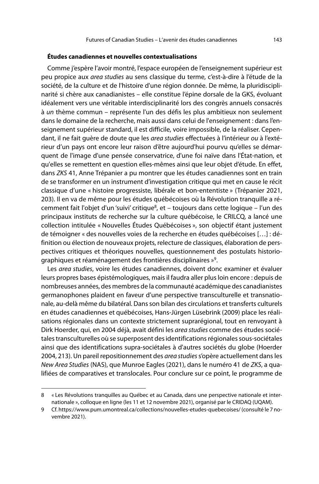#### **Études canadiennes et nouvelles contextualisations**

Comme j'espère l'avoir montré, l'espace européen de l'enseignement supérieur est peu propice aux area studies au sens classique du terme, c'est-à-dire à l'étude de la société, de la culture et de l'histoire d'une région donnée. De même, la pluridisciplinarité si chère aux canadianistes – elle constitue l'épine dorsale de la GKS, évoluant idéalement vers une véritable interdisciplinarité lors des congrès annuels consacrés à un thème commun – représente l'un des défis les plus ambitieux non seulement dans le domaine de la recherche, mais aussi dans celui de l'enseignement : dans l'enseignement supérieur standard, il est difficile, voire impossible, de la réaliser. Cependant, il ne fait guère de doute que les *area studies* effectuées à l'intérieur ou à l'extérieur d'un pays ont encore leur raison d'être aujourd'hui pourvu qu'elles se démarquent de l'image d'une pensée conservatrice, d'une foi naïve dans l'État-nation, et qu'elles se remettent en question elles-mêmes ainsi que leur objet d'étude. En effet, dans ZKS 41, Anne Trépanier a pu montrer que les études canadiennes sont en train de se transformer en un instrument d'investigation critique qui met en cause le récit classique d'une « histoire progressiste, libérale et bon-ententiste » (Trépanier 2021, 203). Il en va de même pour les études québécoises où la Révolution tranquille a récemment fait l'objet d'un 'suivi' critique<sup>8</sup>, et – toujours dans cette logique – l'un des principaux instituts de recherche sur la culture québécoise, le CRILCQ, a lancé une collection intitulée « Nouvelles Études Québécoises », son objectif étant justement de témoigner « des nouvelles voies de la recherche en études québécoises […] : définition ou élection de nouveaux projets, relecture de classiques, élaboration de perspectives critiques et théoriques nouvelles, questionnement des postulats historiographiques et réaménagement des frontières disciplinaires »<sup>9</sup>.

Les area studies, voire les études canadiennes, doivent donc examiner et évaluer leurs propres bases épistémologiques, mais il faudra aller plus loin encore : depuis de nombreuses années, des membres de la communauté académique des canadianistes germanophones plaident en faveur d'une perspective transculturelle et transnationale, au-delà même du bilatéral. Dans son bilan des circulations et transferts culturels en études canadiennes et québécoises, Hans-Jürgen Lüsebrink (2009) place les réalisations régionales dans un contexte strictement suprarégional, tout en renvoyant à Dirk Hoerder, qui, en 2004 déjà, avait défini les area studies comme des études sociétales transculturelles où se superposent des identifications régionales sous-sociétales ainsi que des identifications supra-sociétales à d'autres sociétés du globe (Hoerder 2004, 213). Un pareil repositionnement des area studies s'opère actuellement dans les New Area Studies (NAS), que Munroe Eagles (2021), dans le numéro 41 de ZKS, a qualifiées de comparatives et translocales. Pour conclure sur ce point, le programme de

<sup>8 «</sup> Les Révolutions tranquilles au Québec et au Canada, dans une perspective nationale et internationale », colloque en ligne (les 11 et 12 novembre 2021), organisé par le CRIDAQ (UQAM).

<sup>9</sup> Cf. https://www.pum.umontreal.ca/collections/nouvelles-etudes-quebecoises/ (consulté le 7 novembre 2021).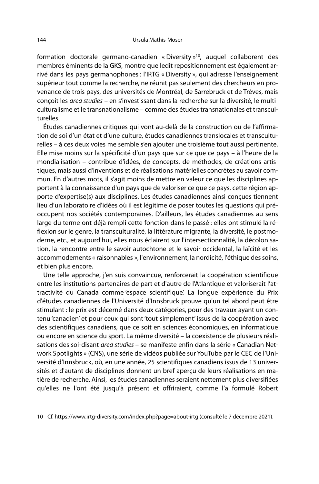formation doctorale germano-canadien « Diversity »<sup>10</sup>, auquel collaborent des membres éminents de la GKS, montre que ledit repositionnement est également arrivé dans les pays germanophones : l'IRTG « Diversity », qui adresse l'enseignement supérieur tout comme la recherche, ne réunit pas seulement des chercheurs en provenance de trois pays, des universités de Montréal, de Sarrebruck et de Trèves, mais conçoit les area studies – en s'investissant dans la recherche sur la diversité, le multiculturalisme et le transnationalisme – comme des études transnationales et transculturelles.

Études canadiennes critiques qui vont au-delà de la construction ou de l'affirmation de soi d'un état et d'une culture, études canadiennes translocales et transculturelles – à ces deux voies me semble s'en ajouter une troisième tout aussi pertinente. Elle mise moins sur la spécificité d'un pays que sur ce que ce pays – à l'heure de la mondialisation – contribue d'idées, de concepts, de méthodes, de créations artistiques, mais aussi d'inventions et de réalisations matérielles concrètes au savoir commun. En d'autres mots, il s'agit moins de mettre en valeur ce que les disciplines apportent à la connaissance d'un pays que de valoriser ce que ce pays, cette région apporte d'expertise(s) aux disciplines. Les études canadiennes ainsi conçues tiennent lieu d'un laboratoire d'idées où il est légitime de poser toutes les questions qui préoccupent nos sociétés contemporaines. D'ailleurs, les études canadiennes au sens large du terme ont déjà rempli cette fonction dans le passé : elles ont stimulé la réflexion sur le genre, la transculturalité, la littérature migrante, la diversité, le postmoderne, etc., et aujourd'hui, elles nous éclairent sur l'intersectionnalité, la décolonisation, la rencontre entre le savoir autochtone et le savoir occidental, la laïcité et les accommodements « raisonnables », l'environnement, la nordicité, l'éthique des soins, et bien plus encore.

Une telle approche, j'en suis convaincue, renforcerait la coopération scientifique entre les institutions partenaires de part et d'autre de l'Atlantique et valoriserait l'attractivité du Canada comme 'espace scientifique'. La longue expérience du Prix d'études canadiennes de l'Université d'Innsbruck prouve qu'un tel abord peut être stimulant : le prix est décerné dans deux catégories, pour des travaux ayant un contenu 'canadien' et pour ceux qui sont 'tout simplement' issus de la coopération avec des scientifiques canadiens, que ce soit en sciences économiques, en informatique ou encore en science du sport. La même diversité – la coexistence de plusieurs réalisations des soi-disant area studies - se manifeste enfin dans la série « Canadian Network Spotlights » (CNS), une série de vidéos publiée sur YouTube par le CEC de l'Université d'Innsbruck, où, en une année, 25 scientifiques canadiens issus de 13 universités et d'autant de disciplines donnent un bref aperçu de leurs réalisations en matière de recherche. Ainsi, les études canadiennes seraient nettement plus diversifiées qu'elles ne l'ont été jusqu'à présent et offriraient, comme l'a formulé Robert

<sup>10</sup> Cf. https://www.irtg-diversity.com/index.php?page=about-irtg (consulté le 7 décembre 2021).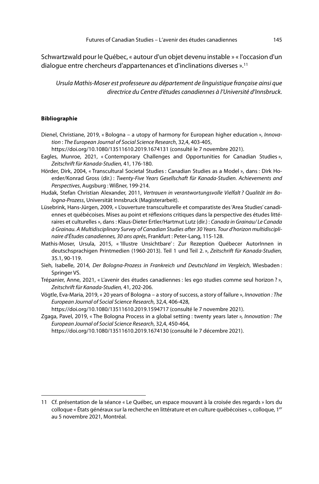Schwartzwald pour le Québec, « autour d'un objet devenu instable » « l'occasion d'un dialogue entre chercheurs d'appartenances et d'inclinations diverses ».<sup>11</sup>

Ursula Mathis-Moser est professeure au département de linguistique française ainsi que directrice du Centre d'études canadiennes à l'Université d'Innsbruck.

### **Bibliographie**

- Dienel, Christiane, 2019, « Bologna a utopy of harmony for European higher education », Innovation : The European Journal of Social Science Research, 32,4, 403-405,
- https://doi.org/10.1080/13511610.2019.1674131 (consulté le 7 novembre 2021).
- Eagles, Munroe, 2021, « Contemporary Challenges and Opportunities for Canadian Studies », Zeitschrift für Kanada-Studien, 41, 176-180.
- Hörder, Dirk, 2004, « Transcultural Societal Studies : Canadian Studies as a Model », dans : Dirk Hoerder/Konrad Gross (dir.) : Twenty-Five Years Gesellschaft für Kanada-Studien. Achievements and Perspectives, Augsburg : Wißner, 199-214.
- Hudak, Stefan Christian Alexander, 2011, Vertrauen in verantwortungsvolle Vielfalt ? Qualität im Bologna-Prozess, Universität Innsbruck (Magisterarbeit).
- Lüsebrink, Hans-Jürgen, 2009, « L'ouverture transculturelle et comparatiste des 'Area Studies' canadiennes et québécoises. Mises au point et réflexions critiques dans la perspective des études littéraires et culturelles », dans : Klaus-Dieter Ertler/Hartmut Lutz (dir.) : Canada in Grainau/ Le Canada à Grainau. A Multidisciplinary Survey of Canadian Studies after 30 Years. Tour d'horizon multidisciplinaire d'Études canadiennes, 30 ans après, Frankfurt : Peter-Lang, 115-128.
- Mathis-Moser, Ursula, 2015, « 'Illustre Unsichtbare' : Zur Rezeption Québecer AutorInnen in deutschsprachigen Printmedien (1960-2013). Teil 1 und Teil 2. », Zeitschrift für Kanada-Studien, 35.1, 90-119.
- Sieh, Isabelle, 2014, Der Bologna-Prozess in Frankreich und Deutschland im Vergleich, Wiesbaden : Springer VS.
- Trépanier, Anne, 2021, « L'avenir des études canadiennes : les ego studies comme seul horizon ? », Zeitschrift für Kanada-Studien, 41, 202-206.
- Vögtle, Eva-Maria, 2019, « 20 years of Bologna a story of success, a story of failure », Innovation : The European Journal of Social Science Research, 32,4, 406-428,

https://doi.org/10.1080/13511610.2019.1594717 (consulté le 7 novembre 2021).

Zgaga, Pavel, 2019, « The Bologna Process in a global setting : twenty years later », Innovation : The European Journal of Social Science Research, 32,4, 450-464,

https://doi.org/10.1080/13511610.2019.1674130 (consulté le 7 décembre 2021).

<sup>11</sup> Cf. présentation de la séance « Le Québec, un espace mouvant à la croisée des regards » lors du colloque « États généraux sur la recherche en littérature et en culture québécoises », colloque, 1er au 5 novembre 2021, Montréal.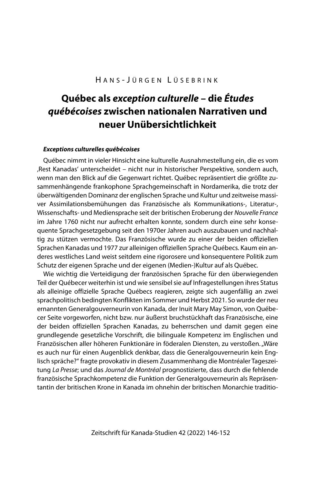## H ANS - J ÜRGEN L ÜSEBRINK

# **Québec als exception culturelle – die Études québécoises zwischen nationalen Narrativen und neuer Unübersichtlichkeit**

### **Exceptions culturelles québécoises**

Québec nimmt in vieler Hinsicht eine kulturelle Ausnahmestellung ein, die es vom 'Rest Kanadas' unterscheidet – nicht nur in historischer Perspektive, sondern auch, wenn man den Blick auf die Gegenwart richtet. Québec repräsentiert die größte zusammenhängende frankophone Sprachgemeinschaft in Nordamerika, die trotz der überwältigenden Dominanz der englischen Sprache und Kultur und zeitweise massiver Assimilationsbemühungen das Französische als Kommunikations-, Literatur-, Wissenschafts- und Mediensprache seit der britischen Eroberung der Nouvelle France im Jahre 1760 nicht nur aufrecht erhalten konnte, sondern durch eine sehr konsequente Sprachgesetzgebung seit den 1970er Jahren auch auszubauen und nachhaltig zu stützen vermochte. Das Französische wurde zu einer der beiden offiziellen Sprachen Kanadas und 1977 zur alleinigen offiziellen Sprache Québecs. Kaum ein anderes westliches Land weist seitdem eine rigorosere und konsequentere Politik zum Schutz der eigenen Sprache und der eigenen (Medien-)Kultur auf als Québec.

Wie wichtig die Verteidigung der französischen Sprache für den überwiegenden Teil der Québecer weiterhin ist und wie sensibel sie auf Infragestellungen ihres Status als alleinige offizielle Sprache Québecs reagieren, zeigte sich augenfällig an zwei sprachpolitisch bedingten Konflikten im Sommer und Herbst 2021. So wurde der neu ernannten Generalgouverneurin von Kanada, der Inuit Mary May Simon, von Québecer Seite vorgeworfen, nicht bzw. nur äußerst bruchstückhaft das Französische, eine der beiden offiziellen Sprachen Kanadas, zu beherrschen und damit gegen eine grundlegende gesetzliche Vorschrift, die bilinguale Kompetenz im Englischen und Französischen aller höheren Funktionäre in föderalen Diensten, zu verstoßen. "Wäre es auch nur für einen Augenblick denkbar, dass die Generalgouverneurin kein Englisch spräche?" fragte provokativ in diesem Zusammenhang die Montréaler Tageszeitung La Presse; und das Journal de Montréal prognostizierte, dass durch die fehlende französische Sprachkompetenz die Funktion der Generalgouverneurin als Repräsentantin der britischen Krone in Kanada im ohnehin der britischen Monarchie traditio-

Zeitschrift für Kanada-Studien 42 (2022) 146-152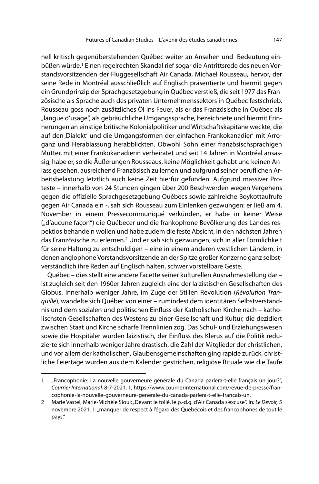nell kritisch gegenüberstehenden Québec weiter an Ansehen und Bedeutung einbüßen würde.<sup>1</sup> Einen regelrechten Skandal rief sogar die Antrittsrede des neuen Vorstandsvorsitzenden der Fluggesellschaft Air Canada, Michael Rousseau, hervor, der seine Rede in Montréal ausschließlich auf Englisch präsentierte und hiermit gegen ein Grundprinzip der Sprachgesetzgebung in Québec verstieß, die seit 1977 das Französische als Sprache auch des privaten Unternehmenssektors in Québec festschrieb. Rousseau goss noch zusätzliches Öl ins Feuer, als er das Französische in Québec als "langue d'usage", als gebräuchliche Umgangssprache, bezeichnete und hiermit Erinnerungen an einstige britische Kolonialpolitiker und Wirtschaftskapitäne weckte, die auf den ,Dialekt' und die Umgangsformen der ,einfachen Frankokanadier' mit Arroganz und Herablassung herabblickten. Obwohl Sohn einer französischsprachigen Mutter, mit einer Frankokanadierin verheiratet und seit 14 Jahren in Montréal ansässig, habe er, so die Äußerungen Rousseaus, keine Möglichkeit gehabt und keinen Anlass gesehen, ausreichend Französisch zu lernen und aufgrund seiner beruflichen Arbeitsbelastung letztlich auch keine Zeit hierfür gefunden. Aufgrund massiver Proteste – innerhalb von 24 Stunden gingen über 200 Beschwerden wegen Vergehens gegen die offizielle Sprachgesetzgebung Québecs sowie zahlreiche Boykottaufrufe gegen Air Canada ein -, sah sich Rousseau zum Einlenken gezwungen: er ließ am 4. November in einem Pressecommuniqué verkünden, er habe in keiner Weise ("d'aucune façon") die Québecer und die frankophone Bevölkerung des Landes respektlos behandeln wollen und habe zudem die feste Absicht, in den nächsten Jahren das Französische zu erlernen.<sup>2</sup> Und er sah sich gezwungen, sich in aller Förmlichkeit für seine Haltung zu entschuldigen – eine in einem anderen westlichen Ländern, in denen anglophone Vorstandsvorsitzende an der Spitze großer Konzerne ganz selbstverständlich ihre Reden auf Englisch halten, schwer vorstellbare Geste.

Québec – dies stellt eine andere Facette seiner kulturellen Ausnahmestellung dar – ist zugleich seit den 1960er Jahren zugleich eine der laizistischen Gesellschaften des Globus. Innerhalb weniger Jahre, im Zuge der Stillen Revolution (Révolution Tranquille), wandelte sich Québec von einer – zumindest dem identitären Selbstverständnis und dem sozialen und politischen Einfluss der Katholischen Kirche nach – katholischsten Gesellschaften des Westens zu einer Gesellschaft und Kultur, die dezidiert zwischen Staat und Kirche scharfe Trennlinien zog. Das Schul- und Erziehungswesen sowie die Hospitäler wurden laizistisch, der Einfluss des Klerus auf die Politik reduzierte sich innerhalb weniger Jahre drastisch, die Zahl der Mitglieder der christlichen, und vor allem der katholischen, Glaubensgemeinschaften ging rapide zurück, christliche Feiertage wurden aus dem Kalender gestrichen, religiöse Rituale wie die Taufe

<sup>1 &</sup>quot;Francophonie: La nouvelle gouverneure générale du Canada parlera-t-elle français un jour?", Courrier International, 8-7-2021, 1, https://www.courrierinternational.com/revue-de-presse/francophonie-la-nouvelle-gouverneure-generale-du-canada-parlera-t-elle-francais-un.

<sup>2</sup> Marie Vastel, Marie-Michèle Sioui: "Devant le tollé, le p.-d.g. d'Air Canada s'excuse". In: Le Devoir, 5 novembre 2021, 1: "manquer de respect à l'égard des Québécois et des francophones de tout le pays."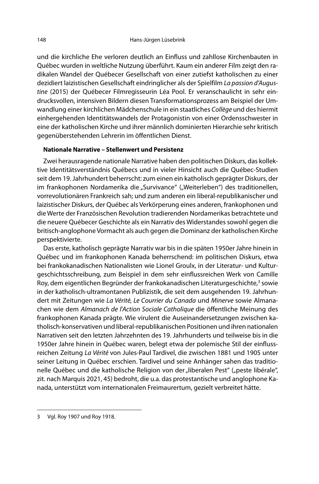und die kirchliche Ehe verloren deutlich an Einfluss und zahllose Kirchenbauten in Québec wurden in weltliche Nutzung überführt. Kaum ein anderer Film zeigt den radikalen Wandel der Québecer Gesellschaft von einer zutiefst katholischen zu einer dezidiert laizistischen Gesellschaft eindringlicher als der Spielfilm La passion d'Augustine (2015) der Québecer Filmregisseurin Léa Pool. Er veranschaulicht in sehr eindrucksvollen, intensiven Bildern diesen Transformationsprozess am Beispiel der Umwandlung einer kirchlichen Mädchenschule in ein staatliches Collège und des hiermit einhergehenden Identitätswandels der Protagonistin von einer Ordensschwester in eine der katholischen Kirche und ihrer männlich dominierten Hierarchie sehr kritisch gegenüberstehenden Lehrerin im öffentlichen Dienst.

### **Nationale Narrative – Stellenwert und Persistenz**

Zwei herausragende nationale Narrative haben den politischen Diskurs, das kollektive Identitätsverständnis Québecs und in vieler Hinsicht auch die Québec-Studien seit dem 19. Jahrhundert beherrscht: zum einen ein katholisch geprägter Diskurs, der im frankophonen Nordamerika die "Survivance" ("Weiterleben") des traditionellen, vorrevolutionären Frankreich sah; und zum anderen ein liberal-republikanischer und laizistischer Diskurs, der Québec als Verkörperung eines anderen, frankophonen und die Werte der Französischen Revolution tradierenden Nordamerikas betrachtete und die neuere Québecer Geschichte als ein Narrativ des Widerstandes sowohl gegen die britisch-anglophone Vormacht als auch gegen die Dominanz der katholischen Kirche perspektivierte.

Das erste, katholisch geprägte Narrativ war bis in die späten 1950er Jahre hinein in Québec und im frankophonen Kanada beherrschend: im politischen Diskurs, etwa bei frankokanadischen Nationalisten wie Lionel Groulx, in der Literatur- und Kulturgeschichtsschreibung, zum Beispiel in dem sehr einflussreichen Werk von Camille Roy, dem eigentlichen Begründer der frankokanadischen Literaturgeschichte,<sup>3</sup> sowie in der katholisch-ultramontanen Publizistik, die seit dem ausgehenden 19. Jahrhundert mit Zeitungen wie La Vérité, Le Courrier du Canada und Minerve sowie Almanachen wie dem Almanach de l'Action Sociale Catholique die öffentliche Meinung des frankophonen Kanada prägte. Wie virulent die Auseinandersetzungen zwischen katholisch-konservativen und liberal-republikanischen Positionen und ihren nationalen Narrativen seit den letzten Jahrzehnten des 19. Jahrhunderts und teilweise bis in die 1950er Jahre hinein in Québec waren, belegt etwa der polemische Stil der einflussreichen Zeitung La Vérité von Jules-Paul Tardivel, die zwischen 1881 und 1905 unter seiner Leitung in Québec erschien. Tardivel und seine Anhänger sahen das traditionelle Québec und die katholische Religion von der "liberalen Pest" ("peste libérale", zit. nach Marquis 2021, 45) bedroht, die u.a. das protestantische und anglophone Kanada, unterstützt vom internationalen Freimaurertum, gezielt verbreitet hätte.

<sup>3</sup> Vgl. Roy 1907 und Roy 1918.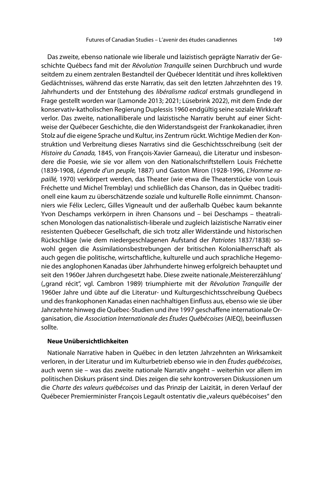Das zweite, ebenso nationale wie liberale und laizistisch geprägte Narrativ der Geschichte Québecs fand mit der Révolution Tranquille seinen Durchbruch und wurde seitdem zu einem zentralen Bestandteil der Québecer Identität und ihres kollektiven Gedächtnisses, während das erste Narrativ, das seit den letzten Jahrzehnten des 19. Jahrhunderts und der Entstehung des libéralisme radical erstmals grundlegend in Frage gestellt worden war (Lamonde 2013; 2021; Lüsebrink 2022), mit dem Ende der konservativ-katholischen Regierung Duplessis 1960 endgültig seine soziale Wirkkraft verlor. Das zweite, nationalliberale und laizistische Narrativ beruht auf einer Sichtweise der Québecer Geschichte, die den Widerstandsgeist der Frankokanadier, ihren Stolz auf die eigene Sprache und Kultur, ins Zentrum rückt. Wichtige Medien der Konstruktion und Verbreitung dieses Narrativs sind die Geschichtsschreibung (seit der Histoire du Canada, 1845, von François-Xavier Garneau), die Literatur und insbesondere die Poesie, wie sie vor allem von den Nationalschriftstellern Louis Fréchette (1839-1908, Légende d'un peuple, 1887) und Gaston Miron (1928-1996, L'Homme rapaillé, 1970) verkörpert werden, das Theater (wie etwa die Theaterstücke von Louis Fréchette und Michel Tremblay) und schließlich das Chanson, das in Québec traditionell eine kaum zu überschätzende soziale und kulturelle Rolle einnimmt. Chansonniers wie Félix Leclerc, Gilles Vigneault und der außerhalb Québec kaum bekannte Yvon Deschamps verkörpern in ihren Chansons und – bei Deschamps – theatralischen Monologen das nationalistisch-liberale und zugleich laizistische Narrativ einer resistenten Québecer Gesellschaft, die sich trotz aller Widerstände und historischen Rückschläge (wie dem niedergeschlagenen Aufstand der Patriotes 1837/1838) sowohl gegen die Assimilationsbestrebungen der britischen Kolonialherrschaft als auch gegen die politische, wirtschaftliche, kulturelle und auch sprachliche Hegemonie des anglophonen Kanadas über Jahrhunderte hinweg erfolgreich behauptet und seit den 1960er Jahren durchgesetzt habe. Diese zweite nationale 'Meistererzählung' ("grand récit", vgl. Cambron 1989) triumphierte mit der Révolution Tranquille der 1960er Jahre und übte auf die Literatur- und Kulturgeschichtsschreibung Québecs und des frankophonen Kanadas einen nachhaltigen Einfluss aus, ebenso wie sie über Jahrzehnte hinweg die Québec-Studien und ihre 1997 geschaffene internationale Organisation, die Association Internationale des Études Québécoises (AIEQ), beeinflussen sollte.

### **Neue Unübersichtlichkeiten**

Nationale Narrative haben in Québec in den letzten Jahrzehnten an Wirksamkeit verloren, in der Literatur und im Kulturbetrieb ebenso wie in den Études québécoises, auch wenn sie – was das zweite nationale Narrativ angeht – weiterhin vor allem im politischen Diskurs präsent sind. Dies zeigen die sehr kontroversen Diskussionen um die Charte des valeurs québécoises und das Prinzip der Laizität, in deren Verlauf der Québecer Premierminister François Legault ostentativ die "valeurs québécoises" den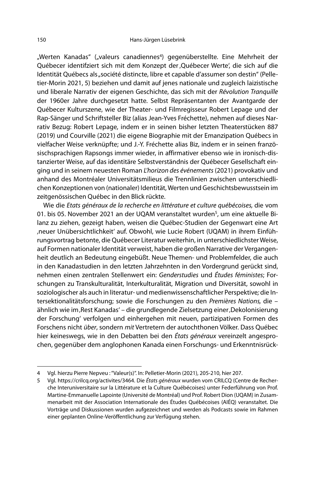"Werten Kanadas" ("valeurs canadiennes<sup>4</sup>) gegenüberstellte. Eine Mehrheit der Québecer identifziert sich mit dem Konzept der 'Québecer Werte', die sich auf die Identität Québecs als "société distincte, libre et capable d'assumer son destin" (Pelletier-Morin 2021, 5) beziehen und damit auf jenes nationale und zugleich laizistische und liberale Narrativ der eigenen Geschichte, das sich mit der Révolution Tranquille der 1960er Jahre durchgesetzt hatte. Selbst Repräsentanten der Avantgarde der Québecer Kulturszene, wie der Theater- und Filmregisseur Robert Lepage und der Rap-Sänger und Schriftsteller Biz (alias Jean-Yves Fréchette), nehmen auf dieses Narrativ Bezug: Robert Lepage, indem er in seinen bisher letzten Theaterstücken 887 (2019) und Courville (2021) die eigene Biographie mit der Emanzipation Québecs in vielfacher Weise verknüpfte; und J.-Y. Fréchette alias Biz, indem er in seinen französischsprachigen Rapsongs immer wieder, in affirmativer ebenso wie in ironisch-distanzierter Weise, auf das identitäre Selbstverständnis der Québecer Gesellschaft einging und in seinem neuesten Roman L'horizon des événements (2021) provokativ und anhand des Montréaler Universitätsmilieus die Trennlinien zwischen unterschiedlichen Konzeptionen von (nationaler) Identität, Werten und Geschichtsbewusstsein im zeitgenössischen Québec in den Blick rückte.

Wie die Etats généraux de la recherche en littérature et culture québécoises, die vom 01. bis 05. November 2021 an der UQAM veranstaltet wurden<sup>5</sup>, um eine aktuelle Bilanz zu ziehen, gezeigt haben, weisen die Québec-Studien der Gegenwart eine Art 'neuer Unübersichtlichkeit' auf. Obwohl, wie Lucie Robert (UQAM) in ihrem Einführungsvortrag betonte, die Québecer Literatur weiterhin, in unterschiedlichster Weise, auf Formen nationaler Identität verweist, haben die großen Narrative der Vergangenheit deutlich an Bedeutung eingebüßt. Neue Themen- und Problemfelder, die auch in den Kanadastudien in den letzten Jahrzehnten in den Vordergrund gerückt sind, nehmen einen zentralen Stellenwert ein: Genderstudies und Études féministes; Forschungen zu Transkulturalität, Interkulturalität, Migration und Diversität, sowohl in soziologischer als auch in literatur- und medienwissenschaftlicher Perspektive; die Intersektionalitätsforschung; sowie die Forschungen zu den Premières Nations, die – ähnlich wie im, Rest Kanadas' – die grundlegende Zielsetzung einer, Dekolonisierung der Forschung' verfolgen und einhergehen mit neuen, partizipativen Formen des Forschens nicht über, sondern mit Vertretern der autochthonen Völker. Dass Québec hier keineswegs, wie in den Debatten bei den États généraux vereinzelt angesprochen, gegenüber dem anglophonen Kanada einen Forschungs- und Erkenntnisrück-

<sup>4</sup> Vgl. hierzu Pierre Nepveu : "Valeur(s)". In: Pelletier-Morin (2021), 205-210, hier 207.

<sup>5</sup> Vgl. https://crilcq.org/activites/3464. Die États généraux wurden vom CRILCQ (Centre de Recherche Interuniversitaire sur la Littérature et la Culture Québécoises) unter Federführung von Prof. Martine-Emmanuelle Lapointe (Université de Montréal) und Prof. Robert Dion (UQAM) in Zusammenarbeit mit der Association Internationale des Études Québécoises (AIÉQ) veranstaltet. Die Vorträge und Diskussionen wurden aufgezeichnet und werden als Podcasts sowie im Rahmen einer geplanten Online-Veröffentlichung zur Verfügung stehen.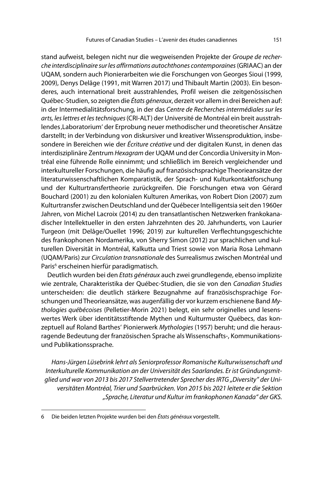stand aufweist, belegen nicht nur die wegweisenden Projekte der Groupe de recherche interdisciplinaire sur les affirmations autochthones contemporaines (GRIAAC) an der UQAM, sondern auch Pionierarbeiten wie die Forschungen von Georges Sioui (1999, 2009), Denys Delâge (1991, mit Warren 2017) und Thibault Martin (2003). Ein besonderes, auch international breit ausstrahlendes, Profil weisen die zeitgenössischen Québec-Studien, so zeigten die États géneraux, derzeit vor allem in drei Bereichen auf: in der Intermedialitätsforschung, in der das Centre de Recherches intermédiales sur les arts, les lettres et les techniques (CRI-ALT) der Université de Montréal ein breit ausstrahlendes 'Laboratorium' der Erprobung neuer methodischer und theoretischer Ansätze darstellt; in der Verbindung von diskursiver und kreativer Wissensproduktion, insbesondere in Bereichen wie der Écriture créative und der digitalen Kunst, in denen das interdisziplinäre Zentrum Hexagram der UQAM und der Concordia University in Montréal eine führende Rolle einnimmt; und schließlich im Bereich vergleichender und interkultureller Forschungen, die häufig auf französischsprachige Theorieansätze der literaturwissenschaftlichen Komparatistik, der Sprach- und Kulturkontaktforschung und der Kulturtransfertheorie zurückgreifen. Die Forschungen etwa von Gérard Bouchard (2001) zu den kolonialen Kulturen Amerikas, von Robert Dion (2007) zum Kulturtransfer zwischen Deutschland und der Québecer Intelligentsia seit den 1960er Jahren, von Michel Lacroix (2014) zu den transatlantischen Netzwerken frankokanadischer Intellektueller in den ersten Jahrzehnten des 20. Jahrhunderts, von Laurier Turgeon (mit Delâge/Ouellet 1996; 2019) zur kulturellen Verflechtungsgeschichte des frankophonen Nordamerika, von Sherry Simon (2012) zur sprachlichen und kulturellen Diversität in Montréal, Kalkutta und Triest sowie von Maria Rosa Lehmann (UQAM/Paris) zur Circulation transnationale des Surrealismus zwischen Montréal und Paris<sup>6</sup> erscheinen hierfür paradigmatisch.

Deutlich wurden bei den Etats généraux auch zwei grundlegende, ebenso implizite wie zentrale, Charakteristika der Québec-Studien, die sie von den Canadian Studies unterscheiden: die deutlich stärkere Bezugnahme auf französischsprachige Forschungen und Theorieansätze, was augenfällig der vor kurzem erschienene Band Mythologies québécoises (Pelletier-Morin 2021) belegt, ein sehr originelles und lesenswertes Werk über identitätsstiftende Mythen und Kulturmuster Québecs, das konzeptuell auf Roland Barthes' Pionierwerk Mythologies (1957) beruht; und die herausragende Bedeutung der französischen Sprache als Wissenschafts-, Kommunikationsund Publikationssprache.

Hans-Jürgen Lüsebrink lehrt als Seniorprofessor Romanische Kulturwissenschaft und Interkulturelle Kommunikation an der Universität des Saarlandes. Er ist Gründungsmitglied und war von 2013 bis 2017 Stellvertretender Sprecher des IRTG "Diversity" der Universitäten Montréal, Trier und Saarbrücken. Von 2015 bis 2021 leitete er die Sektion "Sprache, Literatur und Kultur im frankophonen Kanada" der GKS.

<sup>6</sup> Die beiden letzten Projekte wurden bei den États généraux vorgestellt.